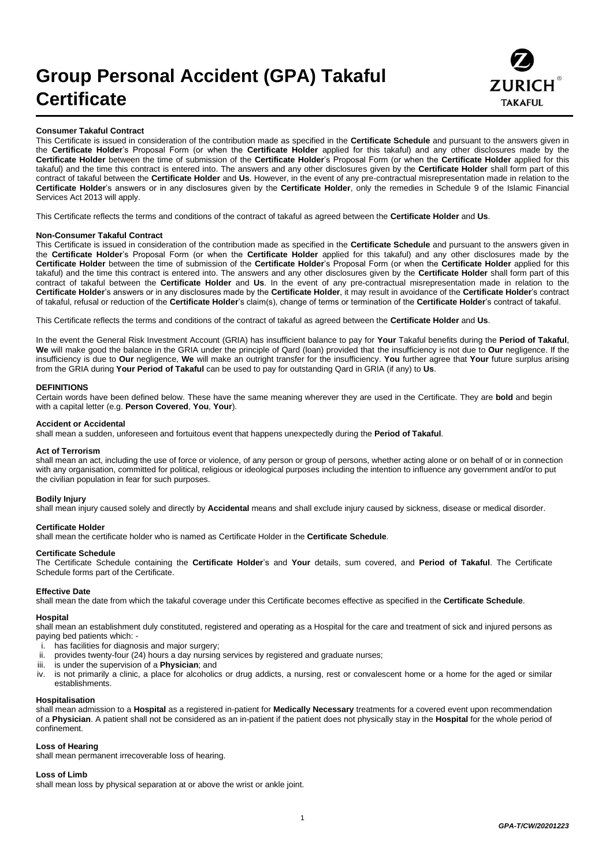# **Group Personal Accident (GPA) Takaful Certificate**



#### **Consumer Takaful Contract**

This Certificate is issued in consideration of the contribution made as specified in the **Certificate Schedule** and pursuant to the answers given in the **Certificate Holder**'s Proposal Form (or when the **Certificate Holder** applied for this takaful) and any other disclosures made by the **Certificate Holder** between the time of submission of the **Certificate Holder**'s Proposal Form (or when the **Certificate Holder** applied for this takaful) and the time this contract is entered into. The answers and any other disclosures given by the **Certificate Holder** shall form part of this contract of takaful between the **Certificate Holder** and **Us**. However, in the event of any pre-contractual misrepresentation made in relation to the **Certificate Holder**'s answers or in any disclosures given by the **Certificate Holder**, only the remedies in Schedule 9 of the Islamic Financial Services Act 2013 will apply.

This Certificate reflects the terms and conditions of the contract of takaful as agreed between the **Certificate Holder** and **Us**.

#### **Non-Consumer Takaful Contract**

This Certificate is issued in consideration of the contribution made as specified in the **Certificate Schedule** and pursuant to the answers given in the **Certificate Holder**'s Proposal Form (or when the **Certificate Holder** applied for this takaful) and any other disclosures made by the **Certificate Holder** between the time of submission of the **Certificate Holder**'s Proposal Form (or when the **Certificate Holder** applied for this takaful) and the time this contract is entered into. The answers and any other disclosures given by the **Certificate Holder** shall form part of this contract of takaful between the **Certificate Holder** and **Us**. In the event of any pre-contractual misrepresentation made in relation to the **Certificate Holder**'s answers or in any disclosures made by the **Certificate Holder**, it may result in avoidance of the **Certificate Holder**'s contract of takaful, refusal or reduction of the **Certificate Holder**'s claim(s), change of terms or termination of the **Certificate Holder**'s contract of takaful.

This Certificate reflects the terms and conditions of the contract of takaful as agreed between the **Certificate Holder** and **Us**.

In the event the General Risk Investment Account (GRIA) has insufficient balance to pay for **Your** Takaful benefits during the **Period of Takaful**, **We** will make good the balance in the GRIA under the principle of Qard (loan) provided that the insufficiency is not due to **Our** negligence. If the insufficiency is due to **Our** negligence, **We** will make an outright transfer for the insufficiency. **You** further agree that **Your** future surplus arising from the GRIA during **Your Period of Takaful** can be used to pay for outstanding Qard in GRIA (if any) to **Us**.

#### **DEFINITIONS**

Certain words have been defined below. These have the same meaning wherever they are used in the Certificate. They are **bold** and begin with a capital letter (e.g. **Person Covered**, **You**, **Your**).

#### **Accident or Accidental**

shall mean a sudden, unforeseen and fortuitous event that happens unexpectedly during the **Period of Takaful**.

#### **Act of Terrorism**

shall mean an act, including the use of force or violence, of any person or group of persons, whether acting alone or on behalf of or in connection with any organisation, committed for political, religious or ideological purposes including the intention to influence any government and/or to put the civilian population in fear for such purposes.

#### **Bodily Injury**

shall mean injury caused solely and directly by **Accidental** means and shall exclude injury caused by sickness, disease or medical disorder.

#### **Certificate Holder**

shall mean the certificate holder who is named as Certificate Holder in the **Certificate Schedule**.

#### **Certificate Schedule**

The Certificate Schedule containing the **Certificate Holder**'s and **Your** details, sum covered, and **Period of Takaful**. The Certificate Schedule forms part of the Certificate.

#### **Effective Date**

shall mean the date from which the takaful coverage under this Certificate becomes effective as specified in the **Certificate Schedule**.

### **Hospital**

shall mean an establishment duly constituted, registered and operating as a Hospital for the care and treatment of sick and injured persons as paying bed patients which: -

- i. has facilities for diagnosis and major surgery;
- provides twenty-four (24) hours a day nursing services by registered and graduate nurses;
- iii. is under the supervision of a **Physician**; and
- iv. is not primarily a clinic, a place for alcoholics or drug addicts, a nursing, rest or convalescent home or a home for the aged or similar establishments.

#### **Hospitalisation**

shall mean admission to a **Hospital** as a registered in-patient for **Medically Necessary** treatments for a covered event upon recommendation of a **Physician**. A patient shall not be considered as an in-patient if the patient does not physically stay in the **Hospital** for the whole period of confinement.

#### **Loss of Hearing**

shall mean permanent irrecoverable loss of hearing.

#### **Loss of Limb**

shall mean loss by physical separation at or above the wrist or ankle joint.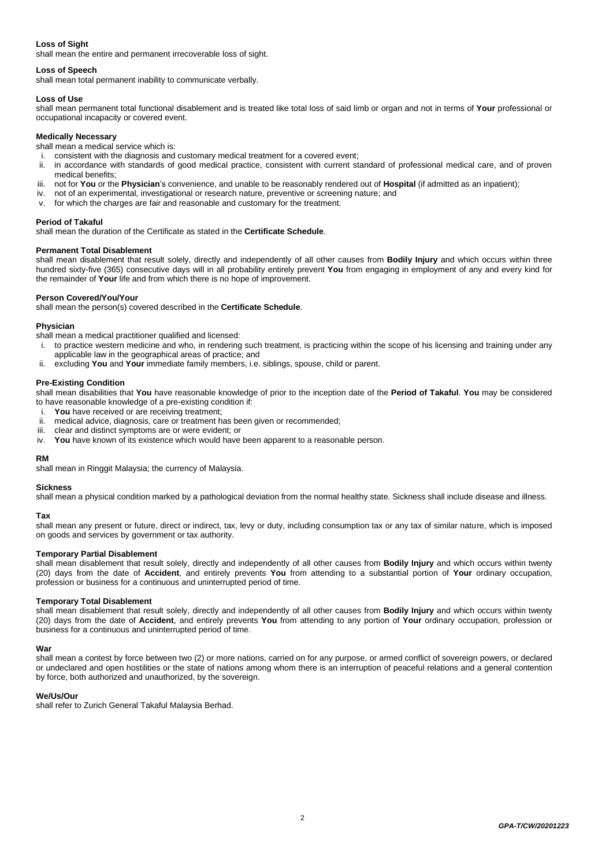# **Loss of Sight**

shall mean the entire and permanent irrecoverable loss of sight.

# **Loss of Speech**

shall mean total permanent inability to communicate verbally.

# **Loss of Use**

shall mean permanent total functional disablement and is treated like total loss of said limb or organ and not in terms of **Your** professional or occupational incapacity or covered event.

# **Medically Necessary**

shall mean a medical service which is:

- i. consistent with the diagnosis and customary medical treatment for a covered event;<br>ii. in accordance with standards of good medical practice, consistent with current st
- in accordance with standards of good medical practice, consistent with current standard of professional medical care, and of proven medical benefits;
- iii. not for **You** or the **Physician**'s convenience, and unable to be reasonably rendered out of **Hospital** (if admitted as an inpatient);
- iv. not of an experimental, investigational or research nature, preventive or screening nature; and
- v. for which the charges are fair and reasonable and customary for the treatment.

# **Period of Takaful**

shall mean the duration of the Certificate as stated in the **Certificate Schedule**.

# **Permanent Total Disablement**

shall mean disablement that result solely, directly and independently of all other causes from **Bodily Injury** and which occurs within three hundred sixty-five (365) consecutive days will in all probability entirely prevent **You** from engaging in employment of any and every kind for the remainder of **Your** life and from which there is no hope of improvement.

# **Person Covered/You/Your**

shall mean the person(s) covered described in the **Certificate Schedule**.

### **Physician**

shall mean a medical practitioner qualified and licensed:

- i. to practice western medicine and who, in rendering such treatment, is practicing within the scope of his licensing and training under any applicable law in the geographical areas of practice; and
- excluding You and Your immediate family members, i.e. siblings, spouse, child or parent.

### **Pre-Existing Condition**

shall mean disabilities that **You** have reasonable knowledge of prior to the inception date of the **Period of Takaful**. **You** may be considered to have reasonable knowledge of a pre-existing condition if:

- i. **You** have received or are receiving treatment;<br>ii medical advice, diagnosis, care or treatment h
- medical advice, diagnosis, care or treatment has been given or recommended;
- iii. clear and distinct symptoms are or were evident; or
- iv. **You** have known of its existence which would have been apparent to a reasonable person.

# **RM**

shall mean in Ringgit Malaysia; the currency of Malaysia.

### **Sickness**

shall mean a physical condition marked by a pathological deviation from the normal healthy state. Sickness shall include disease and illness.

# **Tax**

shall mean any present or future, direct or indirect, tax, levy or duty, including consumption tax or any tax of similar nature, which is imposed on goods and services by government or tax authority.

# **Temporary Partial Disablement**

shall mean disablement that result solely, directly and independently of all other causes from **Bodily Injury** and which occurs within twenty (20) days from the date of **Accident**, and entirely prevents **You** from attending to a substantial portion of **Your** ordinary occupation, profession or business for a continuous and uninterrupted period of time.

# **Temporary Total Disablement**

shall mean disablement that result solely, directly and independently of all other causes from **Bodily Injury** and which occurs within twenty (20) days from the date of **Accident**, and entirely prevents **You** from attending to any portion of **Your** ordinary occupation, profession or business for a continuous and uninterrupted period of time.

# **War**

shall mean a contest by force between two (2) or more nations, carried on for any purpose, or armed conflict of sovereign powers, or declared or undeclared and open hostilities or the state of nations among whom there is an interruption of peaceful relations and a general contention by force, both authorized and unauthorized, by the sovereign.

# **We/Us/Our**

shall refer to Zurich General Takaful Malaysia Berhad.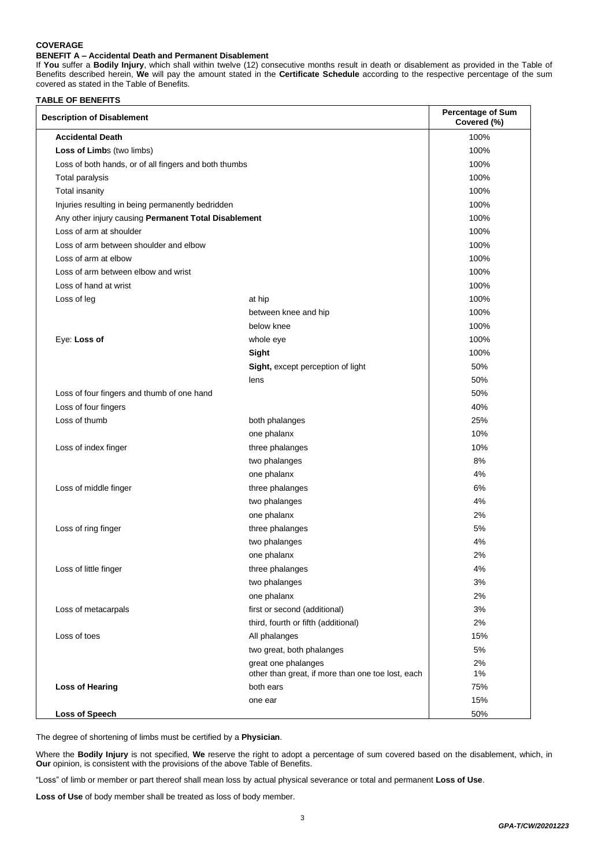# **COVERAGE**

# **BENEFIT A – Accidental Death and Permanent Disablement**

If **You** suffer a **Bodily Injury**, which shall within twelve (12) consecutive months result in death or disablement as provided in the Table of Benefits described herein, **We** will pay the amount stated in the **Certificate Schedule** according to the respective percentage of the sum covered as stated in the Table of Benefits.

### **TABLE OF BENEFITS**

| <b>Description of Disablement</b>                     |                                                   | <b>Percentage of Sum</b><br>Covered (%) |
|-------------------------------------------------------|---------------------------------------------------|-----------------------------------------|
| <b>Accidental Death</b>                               |                                                   | 100%                                    |
| Loss of Limbs (two limbs)                             |                                                   | 100%                                    |
| Loss of both hands, or of all fingers and both thumbs |                                                   | 100%                                    |
| Total paralysis                                       |                                                   | 100%                                    |
| <b>Total insanity</b>                                 |                                                   | 100%                                    |
| Injuries resulting in being permanently bedridden     |                                                   | 100%                                    |
| Any other injury causing Permanent Total Disablement  |                                                   | 100%                                    |
| Loss of arm at shoulder                               |                                                   | 100%                                    |
| Loss of arm between shoulder and elbow                |                                                   | 100%                                    |
| Loss of arm at elbow                                  |                                                   | 100%                                    |
| Loss of arm between elbow and wrist                   |                                                   | 100%                                    |
| Loss of hand at wrist                                 |                                                   | 100%                                    |
| Loss of leg                                           | at hip                                            | 100%                                    |
|                                                       | between knee and hip                              | 100%                                    |
|                                                       | below knee                                        | 100%                                    |
| Eye: Loss of                                          | whole eye                                         | 100%                                    |
|                                                       | Sight                                             | 100%                                    |
|                                                       | Sight, except perception of light                 | 50%                                     |
|                                                       | lens                                              | 50%                                     |
| Loss of four fingers and thumb of one hand            |                                                   | 50%                                     |
| Loss of four fingers                                  |                                                   | 40%                                     |
| Loss of thumb                                         | both phalanges                                    | 25%                                     |
|                                                       | one phalanx                                       | 10%                                     |
| Loss of index finger                                  | three phalanges                                   | 10%                                     |
|                                                       | two phalanges                                     | 8%                                      |
|                                                       | one phalanx                                       | 4%                                      |
| Loss of middle finger                                 | three phalanges                                   | 6%                                      |
|                                                       | two phalanges                                     | 4%                                      |
|                                                       | one phalanx                                       | 2%                                      |
| Loss of ring finger                                   | three phalanges                                   | 5%                                      |
|                                                       | two phalanges                                     | 4%                                      |
|                                                       | one phalanx                                       | 2%                                      |
| Loss of little finger                                 | three phalanges                                   | 4%                                      |
|                                                       | two phalanges                                     | 3%                                      |
|                                                       | one phalanx                                       | 2%                                      |
| Loss of metacarpals                                   | first or second (additional)                      | 3%                                      |
|                                                       | third, fourth or fifth (additional)               | 2%                                      |
| Loss of toes                                          | All phalanges                                     | 15%                                     |
|                                                       | two great, both phalanges                         | 5%                                      |
|                                                       | great one phalanges                               | 2%                                      |
|                                                       | other than great, if more than one toe lost, each | 1%                                      |
| <b>Loss of Hearing</b>                                | both ears                                         | 75%                                     |
|                                                       | one ear                                           | 15%                                     |
| <b>Loss of Speech</b>                                 |                                                   | 50%                                     |

The degree of shortening of limbs must be certified by a **Physician**.

Where the **Bodily Injury** is not specified, **We** reserve the right to adopt a percentage of sum covered based on the disablement, which, in **Our** opinion, is consistent with the provisions of the above Table of Benefits.

"Loss" of limb or member or part thereof shall mean loss by actual physical severance or total and permanent **Loss of Use**.

**Loss of Use** of body member shall be treated as loss of body member.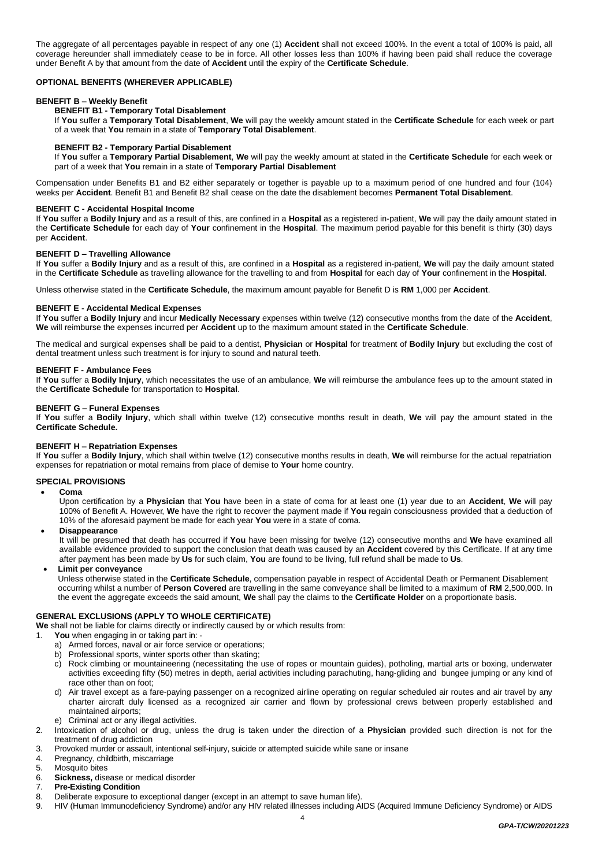The aggregate of all percentages payable in respect of any one (1) **Accident** shall not exceed 100%. In the event a total of 100% is paid, all coverage hereunder shall immediately cease to be in force. All other losses less than 100% if having been paid shall reduce the coverage under Benefit A by that amount from the date of **Accident** until the expiry of the **Certificate Schedule**.

# **OPTIONAL BENEFITS (WHEREVER APPLICABLE)**

### **BENEFIT B – Weekly Benefit**

# **BENEFIT B1 - Temporary Total Disablement**

If **You** suffer a **Temporary Total Disablement**, **We** will pay the weekly amount stated in the **Certificate Schedule** for each week or part of a week that **You** remain in a state of **Temporary Total Disablement**.

#### **BENEFIT B2 - Temporary Partial Disablement**

If **You** suffer a **Temporary Partial Disablement**, **We** will pay the weekly amount at stated in the **Certificate Schedule** for each week or part of a week that **You** remain in a state of **Temporary Partial Disablement**

Compensation under Benefits B1 and B2 either separately or together is payable up to a maximum period of one hundred and four (104) weeks per **Accident**. Benefit B1 and Benefit B2 shall cease on the date the disablement becomes **Permanent Total Disablement**.

# **BENEFIT C - Accidental Hospital Income**

If **You** suffer a **Bodily Injury** and as a result of this, are confined in a **Hospital** as a registered in-patient, **We** will pay the daily amount stated in the **Certificate Schedule** for each day of **Your** confinement in the **Hospital**. The maximum period payable for this benefit is thirty (30) days per **Accident**.

#### **BENEFIT D – Travelling Allowance**

If **You** suffer a **Bodily Injury** and as a result of this, are confined in a **Hospital** as a registered in-patient, **We** will pay the daily amount stated in the **Certificate Schedule** as travelling allowance for the travelling to and from **Hospital** for each day of **Your** confinement in the **Hospital**.

Unless otherwise stated in the **Certificate Schedule**, the maximum amount payable for Benefit D is **RM** 1,000 per **Accident**.

#### **BENEFIT E - Accidental Medical Expenses**

If **You** suffer a **Bodily Injury** and incur **Medically Necessary** expenses within twelve (12) consecutive months from the date of the **Accident**, **We** will reimburse the expenses incurred per **Accident** up to the maximum amount stated in the **Certificate Schedule**.

The medical and surgical expenses shall be paid to a dentist, **Physician** or **Hospital** for treatment of **Bodily Injury** but excluding the cost of dental treatment unless such treatment is for injury to sound and natural teeth.

#### **BENEFIT F - Ambulance Fees**

If **You** suffer a **Bodily Injury**, which necessitates the use of an ambulance, **We** will reimburse the ambulance fees up to the amount stated in the **Certificate Schedule** for transportation to **Hospital**.

# **BENEFIT G – Funeral Expenses**

If **You** suffer a **Bodily Injury**, which shall within twelve (12) consecutive months result in death, **We** will pay the amount stated in the **Certificate Schedule.**

# **BENEFIT H – Repatriation Expenses**

If **You** suffer a **Bodily Injury**, which shall within twelve (12) consecutive months results in death, **We** will reimburse for the actual repatriation expenses for repatriation or motal remains from place of demise to **Your** home country.

### **SPECIAL PROVISIONS**

• **Coma**

Upon certification by a **Physician** that **You** have been in a state of coma for at least one (1) year due to an **Accident**, **We** will pay 100% of Benefit A. However, **We** have the right to recover the payment made if **You** regain consciousness provided that a deduction of 10% of the aforesaid payment be made for each year **You** were in a state of coma.

• **Disappearance**

It will be presumed that death has occurred if **You** have been missing for twelve (12) consecutive months and **We** have examined all available evidence provided to support the conclusion that death was caused by an **Accident** covered by this Certificate. If at any time after payment has been made by **Us** for such claim, **You** are found to be living, full refund shall be made to **Us**.

• **Limit per conveyance** 

Unless otherwise stated in the **Certificate Schedule**, compensation payable in respect of Accidental Death or Permanent Disablement occurring whilst a number of **Person Covered** are travelling in the same conveyance shall be limited to a maximum of **RM** 2,500,000. In the event the aggregate exceeds the said amount, **We** shall pay the claims to the **Certificate Holder** on a proportionate basis.

### **GENERAL EXCLUSIONS (APPLY TO WHOLE CERTIFICATE)**

**We** shall not be liable for claims directly or indirectly caused by or which results from:

- 1. **You** when engaging in or taking part in:
	- a) Armed forces, naval or air force service or operations;
	- b) Professional sports, winter sports other than skating;
	- c) Rock climbing or mountaineering (necessitating the use of ropes or mountain guides), potholing, martial arts or boxing, underwater activities exceeding fifty (50) metres in depth, aerial activities including parachuting, hang-gliding and bungee jumping or any kind of race other than on foot;
	- d) Air travel except as a fare-paying passenger on a recognized airline operating on regular scheduled air routes and air travel by any charter aircraft duly licensed as a recognized air carrier and flown by professional crews between properly established and maintained airports;
	- e) Criminal act or any illegal activities.
- 2. Intoxication of alcohol or drug, unless the drug is taken under the direction of a **Physician** provided such direction is not for the treatment of drug addiction
- 3. Provoked murder or assault, intentional self-injury, suicide or attempted suicide while sane or insane
- 4. Pregnancy, childbirth, miscarriage
- 5. Mosquito bites
- 6. **Sickness,** disease or medical disorder
- 7. **Pre-Existing Condition**
- 8. Deliberate exposure to exceptional danger (except in an attempt to save human life).
- 9. HIV (Human Immunodeficiency Syndrome) and/or any HIV related illnesses including AIDS (Acquired Immune Deficiency Syndrome) or AIDS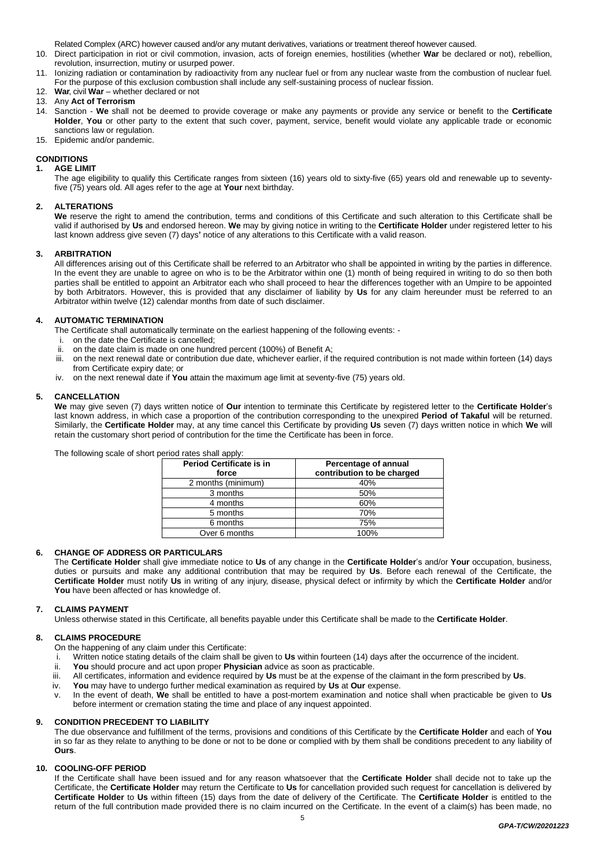Related Complex (ARC) however caused and/or any mutant derivatives, variations or treatment thereof however caused.

- 10. Direct participation in riot or civil commotion, invasion, acts of foreign enemies, hostilities (whether **War** be declared or not), rebellion, revolution, insurrection, mutiny or usurped power.
- 11. Ionizing radiation or contamination by radioactivity from any nuclear fuel or from any nuclear waste from the combustion of nuclear fuel. For the purpose of this exclusion combustion shall include any self-sustaining process of nuclear fission.
- 12. **War**, civil **War** whether declared or not
- 13. Any **Act of Terrorism**
- 14. Sanction **We** shall not be deemed to provide coverage or make any payments or provide any service or benefit to the **Certificate Holder**, **You** or other party to the extent that such cover, payment, service, benefit would violate any applicable trade or economic sanctions law or regulation.
- 15. Epidemic and/or pandemic.

# **CONDITIONS**

# **1. AGE LIMIT**

The age eligibility to qualify this Certificate ranges from sixteen (16) years old to sixty-five (65) years old and renewable up to seventyfive (75) years old. All ages refer to the age at **Your** next birthday.

# **2. ALTERATIONS**

**We** reserve the right to amend the contribution, terms and conditions of this Certificate and such alteration to this Certificate shall be valid if authorised by **Us** and endorsed hereon. **We** may by giving notice in writing to the **Certificate Holder** under registered letter to his last known address give seven (7) days**'** notice of any alterations to this Certificate with a valid reason.

# **3. ARBITRATION**

All differences arising out of this Certificate shall be referred to an Arbitrator who shall be appointed in writing by the parties in difference. In the event they are unable to agree on who is to be the Arbitrator within one (1) month of being required in writing to do so then both parties shall be entitled to appoint an Arbitrator each who shall proceed to hear the differences together with an Umpire to be appointed by both Arbitrators. However, this is provided that any disclaimer of liability by **Us** for any claim hereunder must be referred to an Arbitrator within twelve (12) calendar months from date of such disclaimer.

# **4. AUTOMATIC TERMINATION**

The Certificate shall automatically terminate on the earliest happening of the following events: -

- i. on the date the Certificate is cancelled;
- ii. on the date claim is made on one hundred percent (100%) of Benefit A;
- iii. on the next renewal date or contribution due date, whichever earlier, if the required contribution is not made within forteen (14) days from Certificate expiry date; or
- iv. on the next renewal date if **You** attain the maximum age limit at seventy-five (75) years old.

### **5. CANCELLATION**

**We** may give seven (7) days written notice of **Our** intention to terminate this Certificate by registered letter to the **Certificate Holder**'s last known address, in which case a proportion of the contribution corresponding to the unexpired **Period of Takaful** will be returned. Similarly, the **Certificate Holder** may, at any time cancel this Certificate by providing **Us** seven (7) days written notice in which **We** will retain the customary short period of contribution for the time the Certificate has been in force.

| CHUU TALCO OHAN APPIY.                   |                                                    |
|------------------------------------------|----------------------------------------------------|
| <b>Period Certificate is in</b><br>force | Percentage of annual<br>contribution to be charged |
| 2 months (minimum)                       | 40%                                                |
| 3 months                                 | 50%                                                |
| 4 months                                 | 60%                                                |
| 5 months                                 | 70%                                                |
| 6 months                                 | 75%                                                |
| Over 6 months                            | 100%                                               |

The following scale of short period rates shall apply:

# **6. CHANGE OF ADDRESS OR PARTICULARS**

The **Certificate Holder** shall give immediate notice to **Us** of any change in the **Certificate Holder**'s and/or **Your** occupation, business, duties or pursuits and make any additional contribution that may be required by **Us**. Before each renewal of the Certificate, the **Certificate Holder** must notify **Us** in writing of any injury, disease, physical defect or infirmity by which the **Certificate Holder** and/or **You** have been affected or has knowledge of.

### **7. CLAIMS PAYMENT**

Unless otherwise stated in this Certificate, all benefits payable under this Certificate shall be made to the **Certificate Holder**.

### **8. CLAIMS PROCEDURE**

On the happening of any claim under this Certificate:

- i. Written notice stating details of the claim shall be given to **Us** within fourteen (14) days after the occurrence of the incident.
- ii. **You** should procure and act upon proper **Physician** advice as soon as practicable.
- iii. All certificates, information and evidence required by **Us** must be at the expense of the claimant in the form prescribed by **Us**.
- iv. **You** may have to undergo further medical examination as required by **Us** at **Our** expense.
- v. In the event of death, **We** shall be entitled to have a post-mortem examination and notice shall when practicable be given to **Us** before interment or cremation stating the time and place of any inquest appointed.

### **9. CONDITION PRECEDENT TO LIABILITY**

The due observance and fulfillment of the terms, provisions and conditions of this Certificate by the **Certificate Holder** and each of **You** in so far as they relate to anything to be done or not to be done or complied with by them shall be conditions precedent to any liability of **Ours**.

### **10. COOLING-OFF PERIOD**

If the Certificate shall have been issued and for any reason whatsoever that the **Certificate Holder** shall decide not to take up the Certificate, the **Certificate Holder** may return the Certificate to **Us** for cancellation provided such request for cancellation is delivered by **Certificate Holder** to **Us** within fifteen (15) days from the date of delivery of the Certificate. The **Certificate Holder** is entitled to the return of the full contribution made provided there is no claim incurred on the Certificate. In the event of a claim(s) has been made, no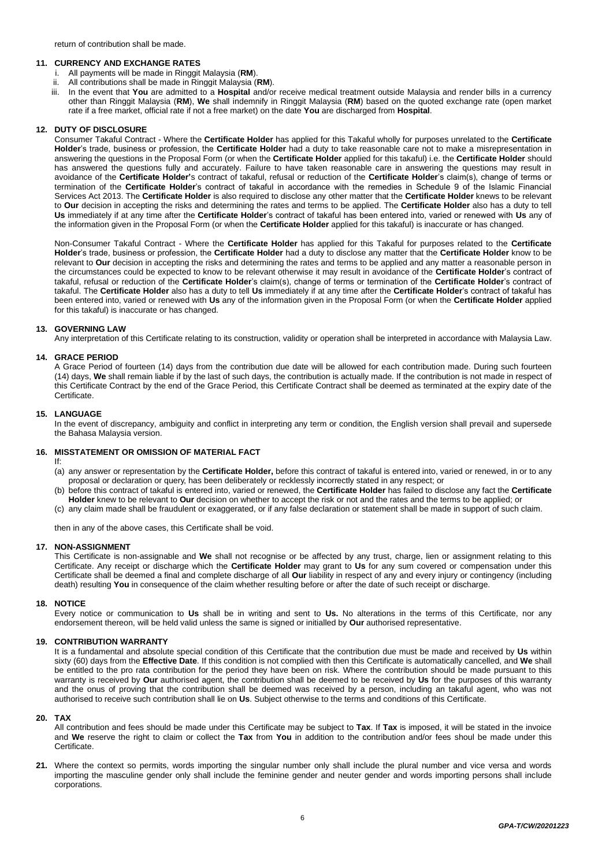# **11. CURRENCY AND EXCHANGE RATES**

- 
- i. All payments will be made in Ringgit Malaysia (**RM**). All contributions shall be made in Ringgit Malaysia (RM).
- iii. In the event that **You** are admitted to a **Hospital** and/or receive medical treatment outside Malaysia and render bills in a currency other than Ringgit Malaysia (**RM**), **We** shall indemnify in Ringgit Malaysia (**RM**) based on the quoted exchange rate (open market rate if a free market, official rate if not a free market) on the date **You** are discharged from **Hospital**.

# **12. DUTY OF DISCLOSURE**

Consumer Takaful Contract - Where the **Certificate Holder** has applied for this Takaful wholly for purposes unrelated to the **Certificate Holder**'s trade, business or profession, the **Certificate Holder** had a duty to take reasonable care not to make a misrepresentation in answering the questions in the Proposal Form (or when the **Certificate Holder** applied for this takaful) i.e. the **Certificate Holder** should has answered the questions fully and accurately. Failure to have taken reasonable care in answering the questions may result in avoidance of the **Certificate Holder'**s contract of takaful, refusal or reduction of the **Certificate Holder**'s claim(s), change of terms or termination of the **Certificate Holder**'s contract of takaful in accordance with the remedies in Schedule 9 of the Islamic Financial Services Act 2013. The **Certificate Holder** is also required to disclose any other matter that the **Certificate Holder** knews to be relevant to **Our** decision in accepting the risks and determining the rates and terms to be applied. The **Certificate Holder** also has a duty to tell **Us** immediately if at any time after the **Certificate Holder**'s contract of takaful has been entered into, varied or renewed with **Us** any of the information given in the Proposal Form (or when the **Certificate Holder** applied for this takaful) is inaccurate or has changed.

Non-Consumer Takaful Contract - Where the **Certificate Holder** has applied for this Takaful for purposes related to the **Certificate Holder**'s trade, business or profession, the **Certificate Holder** had a duty to disclose any matter that the **Certificate Holder** know to be relevant to **Our** decision in accepting the risks and determining the rates and terms to be applied and any matter a reasonable person in the circumstances could be expected to know to be relevant otherwise it may result in avoidance of the **Certificate Holder**'s contract of takaful, refusal or reduction of the **Certificate Holder**'s claim(s), change of terms or termination of the **Certificate Holder**'s contract of takaful. The **Certificate Holder** also has a duty to tell **Us** immediately if at any time after the **Certificate Holder**'s contract of takaful has been entered into, varied or renewed with **Us** any of the information given in the Proposal Form (or when the **Certificate Holder** applied for this takaful) is inaccurate or has changed.

#### **13. GOVERNING LAW**

Any interpretation of this Certificate relating to its construction, validity or operation shall be interpreted in accordance with Malaysia Law.

# **14. GRACE PERIOD**

A Grace Period of fourteen (14) days from the contribution due date will be allowed for each contribution made. During such fourteen (14) days, **We** shall remain liable if by the last of such days, the contribution is actually made. If the contribution is not made in respect of this Certificate Contract by the end of the Grace Period, this Certificate Contract shall be deemed as terminated at the expiry date of the Certificate.

#### **15. LANGUAGE**

In the event of discrepancy, ambiguity and conflict in interpreting any term or condition, the English version shall prevail and supersede the Bahasa Malaysia version.

# **16. MISSTATEMENT OR OMISSION OF MATERIAL FACT**

If:

- (a) any answer or representation by the **Certificate Holder,** before this contract of takaful is entered into, varied or renewed, in or to any proposal or declaration or query, has been deliberately or recklessly incorrectly stated in any respect; or
- (b) before this contract of takaful is entered into, varied or renewed, the **Certificate Holder** has failed to disclose any fact the **Certificate Holder** knew to be relevant to **Our** decision on whether to accept the risk or not and the rates and the terms to be applied; or
- (c) any claim made shall be fraudulent or exaggerated, or if any false declaration or statement shall be made in support of such claim.

then in any of the above cases, this Certificate shall be void.

# **17. NON-ASSIGNMENT**

This Certificate is non-assignable and **We** shall not recognise or be affected by any trust, charge, lien or assignment relating to this Certificate. Any receipt or discharge which the **Certificate Holder** may grant to **Us** for any sum covered or compensation under this Certificate shall be deemed a final and complete discharge of all **Our** liability in respect of any and every injury or contingency (including death) resulting **You** in consequence of the claim whether resulting before or after the date of such receipt or discharge.

### **18. NOTICE**

Every notice or communication to **Us** shall be in writing and sent to **Us.** No alterations in the terms of this Certificate, nor any endorsement thereon, will be held valid unless the same is signed or initialled by **Our** authorised representative.

### **19. CONTRIBUTION WARRANTY**

It is a fundamental and absolute special condition of this Certificate that the contribution due must be made and received by **Us** within sixty (60) days from the **Effective Date**. If this condition is not complied with then this Certificate is automatically cancelled, and **We** shall be entitled to the pro rata contribution for the period they have been on risk. Where the contribution should be made pursuant to this warranty is received by **Our** authorised agent, the contribution shall be deemed to be received by **Us** for the purposes of this warranty and the onus of proving that the contribution shall be deemed was received by a person, including an takaful agent, who was not authorised to receive such contribution shall lie on **Us**. Subject otherwise to the terms and conditions of this Certificate.

#### **20. TAX**

All contribution and fees should be made under this Certificate may be subject to **Tax**. If **Tax** is imposed, it will be stated in the invoice and **We** reserve the right to claim or collect the **Tax** from **You** in addition to the contribution and/or fees shoul be made under this Certificate.

**21.** Where the context so permits, words importing the singular number only shall include the plural number and vice versa and words importing the masculine gender only shall include the feminine gender and neuter gender and words importing persons shall include corporations.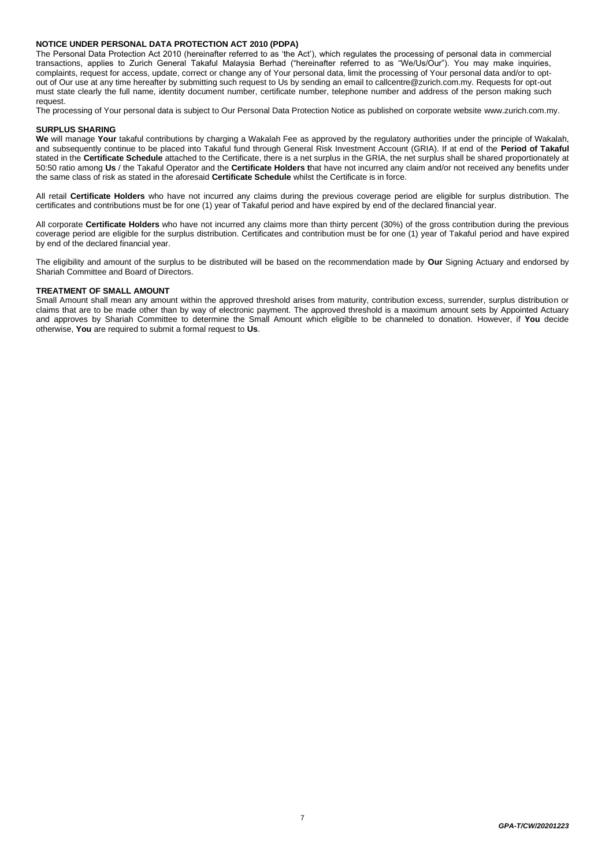# **NOTICE UNDER PERSONAL DATA PROTECTION ACT 2010 (PDPA)**

The Personal Data Protection Act 2010 (hereinafter referred to as 'the Act'), which regulates the processing of personal data in commercial transactions, applies to Zurich General Takaful Malaysia Berhad ("hereinafter referred to as "We/Us/Our"). You may make inquiries, complaints, request for access, update, correct or change any of Your personal data, limit the processing of Your personal data and/or to optout of Our use at any time hereafter by submitting such request to Us by sending an email to callcentre@zurich.com.my. Requests for opt-out must state clearly the full name, identity document number, certificate number, telephone number and address of the person making such request.

The processing of Your personal data is subject to Our Personal Data Protection Notice as published on corporate website www.zurich.com.my.

# **SURPLUS SHARING**

We will manage Your takaful contributions by charging a Wakalah Fee as approved by the regulatory authorities under the principle of Wakalah, and subsequently continue to be placed into Takaful fund through General Risk Investment Account (GRIA). If at end of the **Period of Takaful**  stated in the **Certificate Schedule** attached to the Certificate, there is a net surplus in the GRIA, the net surplus shall be shared proportionately at 50:50 ratio among **Us** / the Takaful Operator and the **Certificate Holders t**hat have not incurred any claim and/or not received any benefits under the same class of risk as stated in the aforesaid **Certificate Schedule** whilst the Certificate is in force.

All retail **Certificate Holders** who have not incurred any claims during the previous coverage period are eligible for surplus distribution. The certificates and contributions must be for one (1) year of Takaful period and have expired by end of the declared financial year.

All corporate **Certificate Holders** who have not incurred any claims more than thirty percent (30%) of the gross contribution during the previous coverage period are eligible for the surplus distribution. Certificates and contribution must be for one (1) year of Takaful period and have expired by end of the declared financial year.

The eligibility and amount of the surplus to be distributed will be based on the recommendation made by **Our** Signing Actuary and endorsed by Shariah Committee and Board of Directors.

# **TREATMENT OF SMALL AMOUNT**

Small Amount shall mean any amount within the approved threshold arises from maturity, contribution excess, surrender, surplus distribution or claims that are to be made other than by way of electronic payment. The approved threshold is a maximum amount sets by Appointed Actuary and approves by Shariah Committee to determine the Small Amount which eligible to be channeled to donation. However, if **You** decide otherwise, **You** are required to submit a formal request to **Us**.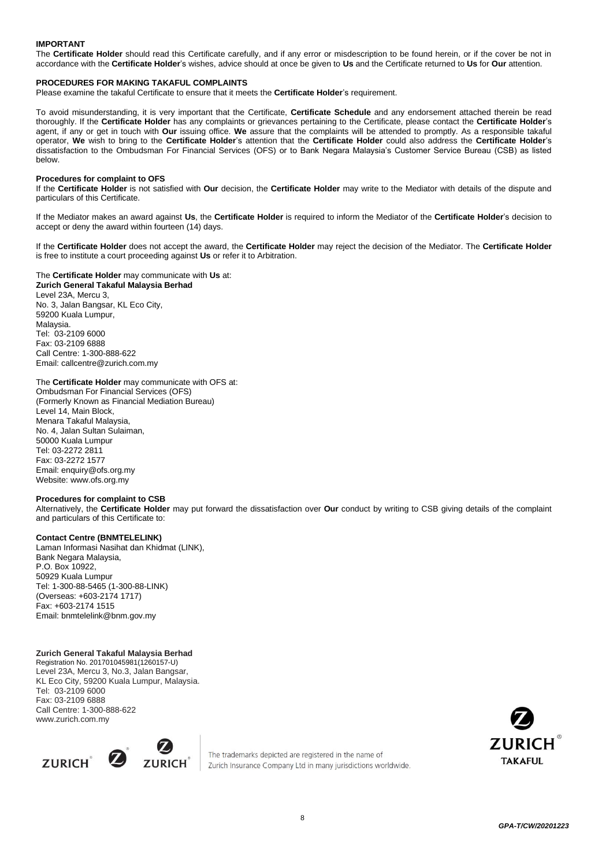# **IMPORTANT**

The **Certificate Holder** should read this Certificate carefully, and if any error or misdescription to be found herein, or if the cover be not in accordance with the **Certificate Holder**'s wishes, advice should at once be given to **Us** and the Certificate returned to **Us** for **Our** attention.

#### **PROCEDURES FOR MAKING TAKAFUL COMPLAINTS**

Please examine the takaful Certificate to ensure that it meets the **Certificate Holder**'s requirement.

To avoid misunderstanding, it is very important that the Certificate, **Certificate Schedule** and any endorsement attached therein be read thoroughly. If the **Certificate Holder** has any complaints or grievances pertaining to the Certificate, please contact the **Certificate Holder**'s agent, if any or get in touch with **Our** issuing office. **We** assure that the complaints will be attended to promptly. As a responsible takaful operator, **We** wish to bring to the **Certificate Holder**'s attention that the **Certificate Holder** could also address the **Certificate Holder**'s dissatisfaction to the Ombudsman For Financial Services (OFS) or to Bank Negara Malaysia's Customer Service Bureau (CSB) as listed below.

#### **Procedures for complaint to OFS**

If the **Certificate Holder** is not satisfied with **Our** decision, the **Certificate Holder** may write to the Mediator with details of the dispute and particulars of this Certificate.

If the Mediator makes an award against **Us**, the **Certificate Holder** is required to inform the Mediator of the **Certificate Holder**'s decision to accept or deny the award within fourteen (14) days.

If the **Certificate Holder** does not accept the award, the **Certificate Holder** may reject the decision of the Mediator. The **Certificate Holder** is free to institute a court proceeding against **Us** or refer it to Arbitration.

The **Certificate Holder** may communicate with **Us** at: **Zurich General Takaful Malaysia Berhad** Level 23A, Mercu 3, No. 3, Jalan Bangsar, KL Eco City, 59200 Kuala Lumpur, Malaysia. Tel: 03-2109 6000 Fax: 03-2109 6888 Call Centre: 1-300-888-622 Email: callcent[re@zurich.com.my](mailto:e@zurich.com.my)

#### The **Certificate Holder** may communicate with OFS at:

Ombudsman For Financial Services (OFS) (Formerly Known as Financial Mediation Bureau) Level 14, Main Block, Menara Takaful Malaysia, No. 4, Jalan Sultan Sulaiman, 50000 Kuala Lumpur Tel: 03-2272 2811 Fax: 03-2272 1577 Email[: enquiry@ofs.org.my](mailto:enquiry@ofs.org.my) Website[: www.ofs.org.my](http://www.ofs.org.my/)

#### **Procedures for complaint to CSB**

Alternatively, the **Certificate Holder** may put forward the dissatisfaction over **Our** conduct by writing to CSB giving details of the complaint and particulars of this Certificate to:

# **Contact Centre (BNMTELELINK)**

Laman Informasi Nasihat dan Khidmat (LINK), Bank Negara Malaysia, P.O. Box 10922, 50929 Kuala Lumpur Tel: 1-300-88-5465 (1-300-88-LINK) (Overseas: +603-2174 1717) Fax: +603-2174 1515 [Email: bnmtelelink@bnm.gov.my](mailto:bnmtelelink@bnm.gov.my)

# **Zurich General Takaful Malaysia Berhad**

Registration No. 201701045981(1260157-U) Level 23A, Mercu 3, No.3, Jalan Bangsar, KL Eco City, 59200 Kuala Lumpur, Malaysia. Tel: 03-2109 6000 Fax: 03-2109 6888 Call Centre: 1-300-888-622 [www.zurich.com.my](http://www.zurich.com.my/)



The trademarks depicted are registered in the name of Zurich Insurance Company Ltd in many jurisdictions worldwide.

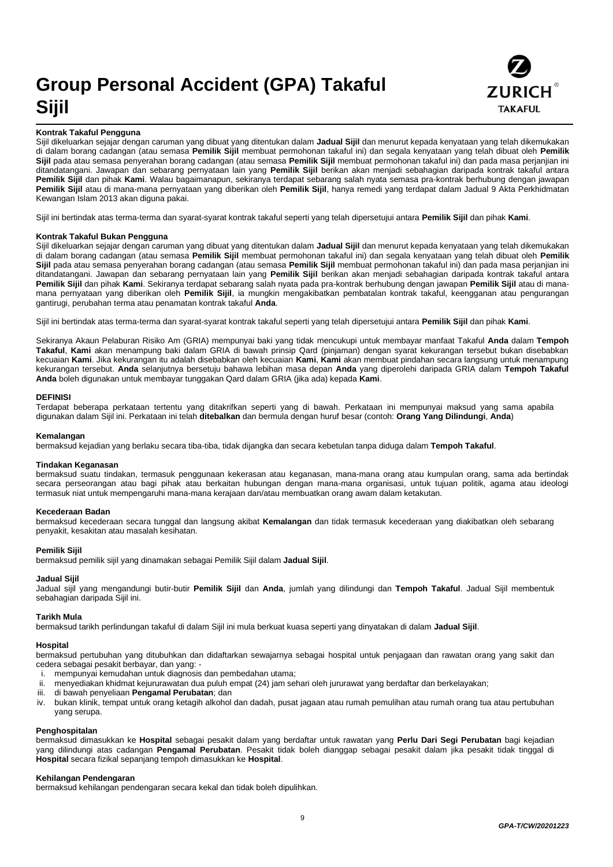# **Group Personal Accident (GPA) Takaful Sijil**



### **Kontrak Takaful Pengguna**

Sijil dikeluarkan sejajar dengan caruman yang dibuat yang ditentukan dalam **Jadual Sijil** dan menurut kepada kenyataan yang telah dikemukakan di dalam borang cadangan (atau semasa **Pemilik Sijil** membuat permohonan takaful ini) dan segala kenyataan yang telah dibuat oleh **Pemilik Sijil** pada atau semasa penyerahan borang cadangan (atau semasa **Pemilik Sijil** membuat permohonan takaful ini) dan pada masa perjanjian ini ditandatangani. Jawapan dan sebarang pernyataan lain yang **Pemilik Sijil** berikan akan menjadi sebahagian daripada kontrak takaful antara **Pemilik Sijil** dan pihak **Kami**. Walau bagaimanapun, sekiranya terdapat sebarang salah nyata semasa pra-kontrak berhubung dengan jawapan **Pemilik Sijil** atau di mana-mana pernyataan yang diberikan oleh **Pemilik Sijil**, hanya remedi yang terdapat dalam Jadual 9 Akta Perkhidmatan Kewangan Islam 2013 akan diguna pakai.

Sijil ini bertindak atas terma-terma dan syarat-syarat kontrak takaful seperti yang telah dipersetujui antara **Pemilik Sijil** dan pihak **Kami**.

#### **Kontrak Takaful Bukan Pengguna**

Sijil dikeluarkan sejajar dengan caruman yang dibuat yang ditentukan dalam **Jadual Sijil** dan menurut kepada kenyataan yang telah dikemukakan di dalam borang cadangan (atau semasa **Pemilik Sijil** membuat permohonan takaful ini) dan segala kenyataan yang telah dibuat oleh **Pemilik Sijil** pada atau semasa penyerahan borang cadangan (atau semasa **Pemilik Sijil** membuat permohonan takaful ini) dan pada masa perjanjian ini ditandatangani. Jawapan dan sebarang pernyataan lain yang **Pemilik Sijil** berikan akan menjadi sebahagian daripada kontrak takaful antara **Pemilik Sijil** dan pihak **Kami**. Sekiranya terdapat sebarang salah nyata pada pra-kontrak berhubung dengan jawapan **Pemilik Sijil** atau di manamana pernyataan yang diberikan oleh **Pemilik Sijil**, ia mungkin mengakibatkan pembatalan kontrak takaful, keengganan atau pengurangan gantirugi, perubahan terma atau penamatan kontrak takaful **Anda**.

Sijil ini bertindak atas terma-terma dan syarat-syarat kontrak takaful seperti yang telah dipersetujui antara **Pemilik Sijil** dan pihak **Kami**.

Sekiranya Akaun Pelaburan Risiko Am (GRIA) mempunyai baki yang tidak mencukupi untuk membayar manfaat Takaful **Anda** dalam **Tempoh Takaful**, **Kami** akan menampung baki dalam GRIA di bawah prinsip Qard (pinjaman) dengan syarat kekurangan tersebut bukan disebabkan kecuaian **Kami**. Jika kekurangan itu adalah disebabkan oleh kecuaian **Kami**, **Kami** akan membuat pindahan secara langsung untuk menampung kekurangan tersebut. **Anda** selanjutnya bersetuju bahawa lebihan masa depan **Anda** yang diperolehi daripada GRIA dalam **Tempoh Takaful Anda** boleh digunakan untuk membayar tunggakan Qard dalam GRIA (jika ada) kepada **Kami**.

#### **DEFINISI**

Terdapat beberapa perkataan tertentu yang ditakrifkan seperti yang di bawah. Perkataan ini mempunyai maksud yang sama apabila digunakan dalam Sijil ini. Perkataan ini telah **ditebalkan** dan bermula dengan huruf besar (contoh: **Orang Yang Dilindungi**, **Anda**)

#### **Kemalangan**

bermaksud kejadian yang berlaku secara tiba-tiba, tidak dijangka dan secara kebetulan tanpa diduga dalam **Tempoh Takaful**.

#### **Tindakan Keganasan**

bermaksud suatu tindakan, termasuk penggunaan kekerasan atau keganasan, mana-mana orang atau kumpulan orang, sama ada bertindak secara perseorangan atau bagi pihak atau berkaitan hubungan dengan mana-mana organisasi, untuk tujuan politik, agama atau ideologi termasuk niat untuk mempengaruhi mana-mana kerajaan dan/atau membuatkan orang awam dalam ketakutan.

#### **Kecederaan Badan**

bermaksud kecederaan secara tunggal dan langsung akibat **Kemalangan** dan tidak termasuk kecederaan yang diakibatkan oleh sebarang penyakit, kesakitan atau masalah kesihatan.

### **Pemilik Sijil**

bermaksud pemilik sijil yang dinamakan sebagai Pemilik Sijil dalam **Jadual Sijil**.

#### **Jadual Sijil**

Jadual sijil yang mengandungi butir-butir **Pemilik Sijil** dan **Anda**, jumlah yang dilindungi dan **Tempoh Takaful**. Jadual Sijil membentuk sebahagian daripada Sijil ini.

#### **Tarikh Mula**

bermaksud tarikh perlindungan takaful di dalam Sijil ini mula berkuat kuasa seperti yang dinyatakan di dalam **Jadual Sijil**.

# **Hospital**

bermaksud pertubuhan yang ditubuhkan dan didaftarkan sewajarnya sebagai hospital untuk penjagaan dan rawatan orang yang sakit dan cedera sebagai pesakit berbayar, dan yang: -

- i. mempunyai kemudahan untuk diagnosis dan pembedahan utama;
- ii. menyediakan khidmat kejururawatan dua puluh empat (24) jam sehari oleh jururawat yang berdaftar dan berkelayakan;
- iii. di bawah penyeliaan **Pengamal Perubatan**; dan
- iv. bukan klinik, tempat untuk orang ketagih alkohol dan dadah, pusat jagaan atau rumah pemulihan atau rumah orang tua atau pertubuhan yang serupa.

#### **Penghospitalan**

bermaksud dimasukkan ke **Hospital** sebagai pesakit dalam yang berdaftar untuk rawatan yang **Perlu Dari Segi Perubatan** bagi kejadian yang dilindungi atas cadangan **Pengamal Perubatan**. Pesakit tidak boleh dianggap sebagai pesakit dalam jika pesakit tidak tinggal di **Hospital** secara fizikal sepanjang tempoh dimasukkan ke **Hospital**.

# **Kehilangan Pendengaran**

bermaksud kehilangan pendengaran secara kekal dan tidak boleh dipulihkan.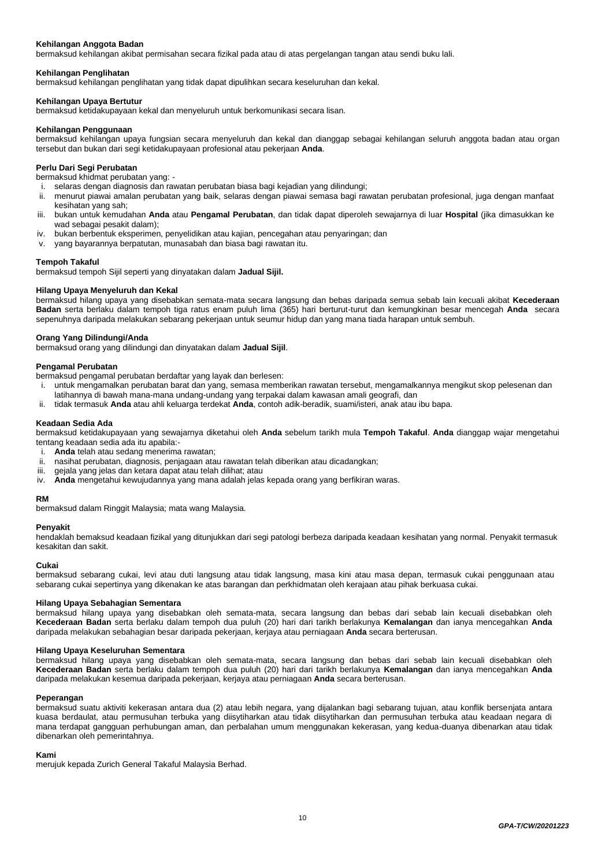# **Kehilangan Anggota Badan**

bermaksud kehilangan akibat permisahan secara fizikal pada atau di atas pergelangan tangan atau sendi buku lali.

#### **Kehilangan Penglihatan**

bermaksud kehilangan penglihatan yang tidak dapat dipulihkan secara keseluruhan dan kekal.

#### **Kehilangan Upaya Bertutur**

bermaksud ketidakupayaan kekal dan menyeluruh untuk berkomunikasi secara lisan.

#### **Kehilangan Penggunaan**

bermaksud kehilangan upaya fungsian secara menyeluruh dan kekal dan dianggap sebagai kehilangan seluruh anggota badan atau organ tersebut dan bukan dari segi ketidakupayaan profesional atau pekerjaan **Anda**.

#### **Perlu Dari Segi Perubatan**

bermaksud khidmat perubatan yang:<br>i. selaras dengan diagnosis dan ra

- i. selaras dengan diagnosis dan rawatan perubatan biasa bagi kejadian yang dilindungi;
- menurut piawai amalan perubatan yang baik, selaras dengan piawai semasa bagi rawatan perubatan profesional, juga dengan manfaat kesihatan yang sah;
- iii. bukan untuk kemudahan **Anda** atau **Pengamal Perubatan**, dan tidak dapat diperoleh sewajarnya di luar **Hospital** (jika dimasukkan ke wad sebagai pesakit dalam);
- iv. bukan berbentuk eksperimen, penyelidikan atau kajian, pencegahan atau penyaringan; dan
- v. yang bayarannya berpatutan, munasabah dan biasa bagi rawatan itu.

#### **Tempoh Takaful**

bermaksud tempoh Sijil seperti yang dinyatakan dalam **Jadual Sijil.**

#### **Hilang Upaya Menyeluruh dan Kekal**

bermaksud hilang upaya yang disebabkan semata-mata secara langsung dan bebas daripada semua sebab lain kecuali akibat **Kecederaan Badan** serta berlaku dalam tempoh tiga ratus enam puluh lima (365) hari berturut-turut dan kemungkinan besar mencegah **Anda** secara sepenuhnya daripada melakukan sebarang pekerjaan untuk seumur hidup dan yang mana tiada harapan untuk sembuh.

#### **Orang Yang Dilindungi/Anda**

bermaksud orang yang dilindungi dan dinyatakan dalam **Jadual Sijil**.

#### **Pengamal Perubatan**

bermaksud pengamal perubatan berdaftar yang layak dan berlesen:

- i. untuk mengamalkan perubatan barat dan yang, semasa memberikan rawatan tersebut, mengamalkannya mengikut skop pelesenan dan latihannya di bawah mana-mana undang-undang yang terpakai dalam kawasan amali geografi, dan
- ii. tidak termasuk **Anda** atau ahli keluarga terdekat **Anda**, contoh adik-beradik, suami/isteri, anak atau ibu bapa.

#### **Keadaan Sedia Ada**

bermaksud ketidakupayaan yang sewajarnya diketahui oleh **Anda** sebelum tarikh mula **Tempoh Takaful**. **Anda** dianggap wajar mengetahui tentang keadaan sedia ada itu apabila:-

- i. **Anda** telah atau sedang menerima rawatan;
- nasihat perubatan, diagnosis, penjagaan atau rawatan telah diberikan atau dicadangkan;
- iii. gejala yang jelas dan ketara dapat atau telah dilihat; atau
- iv. **Anda** mengetahui kewujudannya yang mana adalah jelas kepada orang yang berfikiran waras.

#### **RM**

bermaksud dalam Ringgit Malaysia; mata wang Malaysia.

#### **Penyakit**

hendaklah bemaksud keadaan fizikal yang ditunjukkan dari segi patologi berbeza daripada keadaan kesihatan yang normal. Penyakit termasuk kesakitan dan sakit.

#### **Cukai**

bermaksud sebarang cukai, levi atau duti langsung atau tidak langsung, masa kini atau masa depan, termasuk cukai penggunaan atau sebarang cukai sepertinya yang dikenakan ke atas barangan dan perkhidmatan oleh kerajaan atau pihak berkuasa cukai.

#### **Hilang Upaya Sebahagian Sementara**

bermaksud hilang upaya yang disebabkan oleh semata-mata, secara langsung dan bebas dari sebab lain kecuali disebabkan oleh **Kecederaan Badan** serta berlaku dalam tempoh dua puluh (20) hari dari tarikh berlakunya **Kemalangan** dan ianya mencegahkan **Anda**  daripada melakukan sebahagian besar daripada pekerjaan, kerjaya atau perniagaan **Anda** secara berterusan.

#### **Hilang Upaya Keseluruhan Sementara**

bermaksud hilang upaya yang disebabkan oleh semata-mata, secara langsung dan bebas dari sebab lain kecuali disebabkan oleh **Kecederaan Badan** serta berlaku dalam tempoh dua puluh (20) hari dari tarikh berlakunya **Kemalangan** dan ianya mencegahkan **Anda**  daripada melakukan kesemua daripada pekerjaan, kerjaya atau perniagaan **Anda** secara berterusan.

#### **Peperangan**

bermaksud suatu aktiviti kekerasan antara dua (2) atau lebih negara, yang dijalankan bagi sebarang tujuan, atau konflik bersenjata antara kuasa berdaulat, atau permusuhan terbuka yang diisytiharkan atau tidak diisytiharkan dan permusuhan terbuka atau keadaan negara di mana terdapat gangguan perhubungan aman, dan perbalahan umum menggunakan kekerasan, yang kedua-duanya dibenarkan atau tidak dibenarkan oleh pemerintahnya.

#### **Kami**

merujuk kepada Zurich General Takaful Malaysia Berhad.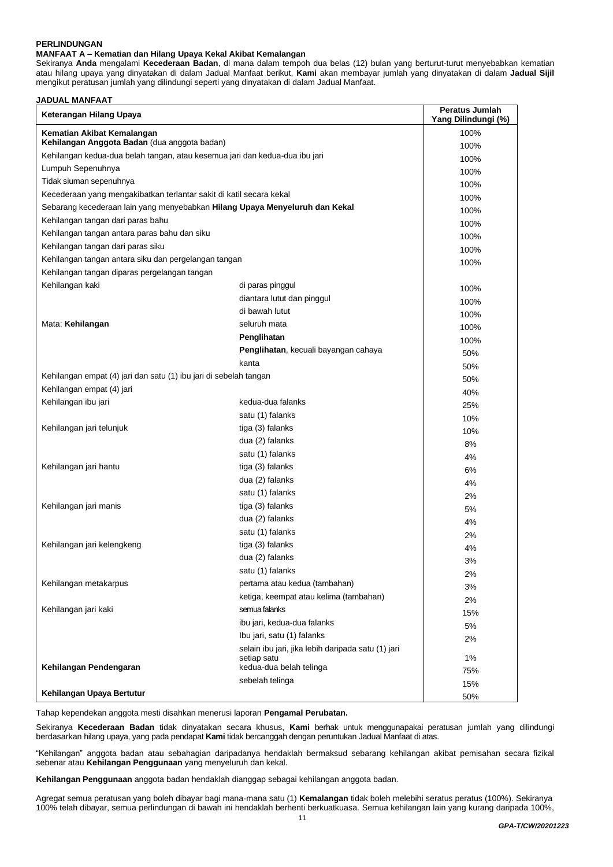# **PERLINDUNGAN**

#### **MANFAAT A – Kematian dan Hilang Upaya Kekal Akibat Kemalangan**

Sekiranya **Anda** mengalami **Kecederaan Badan**, di mana dalam tempoh dua belas (12) bulan yang berturut-turut menyebabkan kematian atau hilang upaya yang dinyatakan di dalam Jadual Manfaat berikut, **Kami** akan membayar jumlah yang dinyatakan di dalam **Jadual Sijil** mengikut peratusan jumlah yang dilindungi seperti yang dinyatakan di dalam Jadual Manfaat.

# **JADUAL MANFAAT**

| Keterangan Hilang Upaya                                                     |                                                    | <b>Peratus Jumlah</b><br>Yang Dilindungi (%) |
|-----------------------------------------------------------------------------|----------------------------------------------------|----------------------------------------------|
| Kematian Akibat Kemalangan<br>Kehilangan Anggota Badan (dua anggota badan)  |                                                    | 100%                                         |
| Kehilangan kedua-dua belah tangan, atau kesemua jari dan kedua-dua ibu jari |                                                    | 100%                                         |
| Lumpuh Sepenuhnya                                                           |                                                    | 100%                                         |
| Tidak siuman sepenuhnya                                                     |                                                    | 100%                                         |
| Kecederaan yang mengakibatkan terlantar sakit di katil secara kekal         |                                                    | 100%                                         |
| Sebarang kecederaan lain yang menyebabkan Hilang Upaya Menyeluruh dan Kekal |                                                    | 100%                                         |
| Kehilangan tangan dari paras bahu                                           |                                                    | 100%                                         |
| Kehilangan tangan antara paras bahu dan siku                                |                                                    | 100%                                         |
| Kehilangan tangan dari paras siku                                           |                                                    | 100%                                         |
| Kehilangan tangan antara siku dan pergelangan tangan                        |                                                    | 100%                                         |
| Kehilangan tangan diparas pergelangan tangan                                |                                                    | 100%                                         |
| Kehilangan kaki                                                             | di paras pinggul                                   |                                              |
|                                                                             | diantara lutut dan pinggul                         | 100%                                         |
|                                                                             | di bawah lutut                                     | 100%                                         |
| Mata: Kehilangan                                                            | seluruh mata                                       | 100%                                         |
|                                                                             | Penglihatan                                        | 100%                                         |
|                                                                             | Penglihatan, kecuali bayangan cahaya               | 100%                                         |
|                                                                             | kanta                                              | 50%                                          |
| Kehilangan empat (4) jari dan satu (1) ibu jari di sebelah tangan           |                                                    | 50%                                          |
| Kehilangan empat (4) jari                                                   |                                                    | 50%                                          |
| Kehilangan ibu jari                                                         | kedua-dua falanks                                  | 40%                                          |
|                                                                             | satu (1) falanks                                   | 25%                                          |
| Kehilangan jari telunjuk                                                    | tiga (3) falanks                                   | 10%                                          |
|                                                                             | dua (2) falanks                                    | 10%                                          |
|                                                                             | satu (1) falanks                                   | 8%<br>4%                                     |
| Kehilangan jari hantu                                                       | tiga (3) falanks                                   | 6%                                           |
|                                                                             | dua (2) falanks                                    | 4%                                           |
|                                                                             | satu (1) falanks                                   | 2%                                           |
| Kehilangan jari manis                                                       | tiga (3) falanks                                   | 5%                                           |
|                                                                             | dua (2) falanks                                    | 4%                                           |
|                                                                             | satu (1) falanks                                   | 2%                                           |
| Kehilangan jari kelengkeng                                                  | tiga (3) falanks                                   | 4%                                           |
|                                                                             | dua (2) falanks                                    | 3%                                           |
|                                                                             | satu (1) falanks                                   | 2%                                           |
| Kehilangan metakarpus                                                       | pertama atau kedua (tambahan)                      | 3%                                           |
|                                                                             | ketiga, keempat atau kelima (tambahan)             | 2%                                           |
| Kehilangan jari kaki                                                        | semua falanks                                      | 15%                                          |
|                                                                             | ibu jari, kedua-dua falanks                        | 5%                                           |
|                                                                             | Ibu jari, satu (1) falanks                         | 2%                                           |
|                                                                             | selain ibu jari, jika lebih daripada satu (1) jari |                                              |
|                                                                             | setiap satu                                        | 1%                                           |
| Kehilangan Pendengaran                                                      | kedua-dua belah telinga                            | 75%                                          |
|                                                                             | sebelah telinga                                    | 15%                                          |
| Kehilangan Upaya Bertutur                                                   |                                                    | 50%                                          |

Tahap kependekan anggota mesti disahkan menerusi laporan **Pengamal Perubatan.**

Sekiranya **Kecederaan Badan** tidak dinyatakan secara khusus, **Kami** berhak untuk menggunapakai peratusan jumlah yang dilindungi berdasarkan hilang upaya, yang pada pendapat **Kami** tidak bercanggah dengan peruntukan Jadual Manfaat di atas.

"Kehilangan" anggota badan atau sebahagian daripadanya hendaklah bermaksud sebarang kehilangan akibat pemisahan secara fizikal sebenar atau **Kehilangan Penggunaan** yang menyeluruh dan kekal.

**Kehilangan Penggunaan** anggota badan hendaklah dianggap sebagai kehilangan anggota badan.

Agregat semua peratusan yang boleh dibayar bagi mana-mana satu (1) **Kemalangan** tidak boleh melebihi seratus peratus (100%). Sekiranya 100% telah dibayar, semua perlindungan di bawah ini hendaklah berhenti berkuatkuasa. Semua kehilangan lain yang kurang daripada 100%,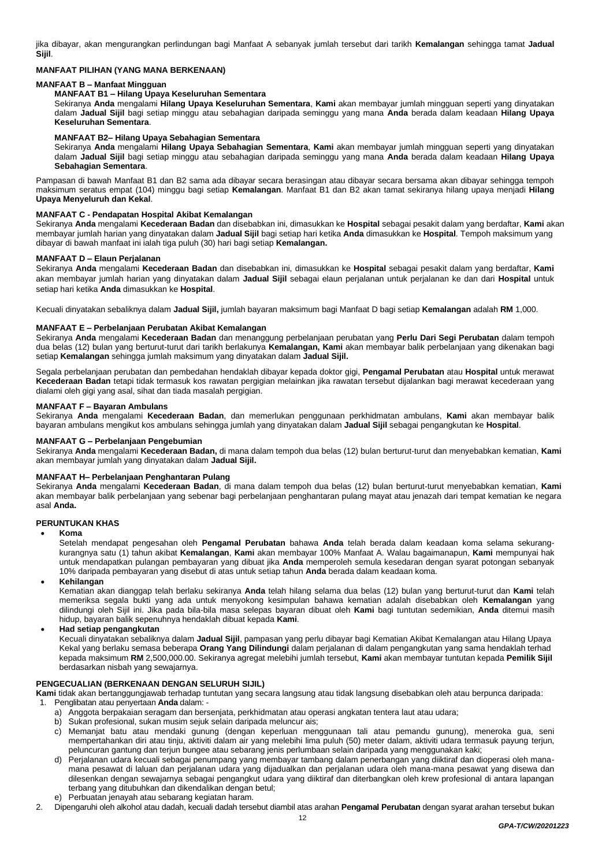jika dibayar, akan mengurangkan perlindungan bagi Manfaat A sebanyak jumlah tersebut dari tarikh **Kemalangan** sehingga tamat **Jadual Sijil**.

# **MANFAAT PILIHAN (YANG MANA BERKENAAN)**

# **MANFAAT B – Manfaat Mingguan**

# **MANFAAT B1 – Hilang Upaya Keseluruhan Sementara**

Sekiranya **Anda** mengalami **Hilang Upaya Keseluruhan Sementara**, **Kami** akan membayar jumlah mingguan seperti yang dinyatakan dalam **Jadual Sijil** bagi setiap minggu atau sebahagian daripada seminggu yang mana **Anda** berada dalam keadaan **Hilang Upaya Keseluruhan Sementara**.

#### **MANFAAT B2– Hilang Upaya Sebahagian Sementara**

Sekiranya **Anda** mengalami **Hilang Upaya Sebahagian Sementara**, **Kami** akan membayar jumlah mingguan seperti yang dinyatakan dalam **Jadual Sijil** bagi setiap minggu atau sebahagian daripada seminggu yang mana **Anda** berada dalam keadaan **Hilang Upaya Sebahagian Sementara**.

Pampasan di bawah Manfaat B1 dan B2 sama ada dibayar secara berasingan atau dibayar secara bersama akan dibayar sehingga tempoh maksimum seratus empat (104) minggu bagi setiap **Kemalangan**. Manfaat B1 dan B2 akan tamat sekiranya hilang upaya menjadi **Hilang Upaya Menyeluruh dan Kekal**.

# **MANFAAT C - Pendapatan Hospital Akibat Kemalangan**

Sekiranya **Anda** mengalami **Kecederaan Badan** dan disebabkan ini, dimasukkan ke **Hospital** sebagai pesakit dalam yang berdaftar, **Kami** akan membayar jumlah harian yang dinyatakan dalam **Jadual Sijil** bagi setiap hari ketika **Anda** dimasukkan ke **Hospital**. Tempoh maksimum yang dibayar di bawah manfaat ini ialah tiga puluh (30) hari bagi setiap **Kemalangan.** 

# **MANFAAT D – Elaun Perjalanan**

Sekiranya **Anda** mengalami **Kecederaan Badan** dan disebabkan ini, dimasukkan ke **Hospital** sebagai pesakit dalam yang berdaftar, **Kami** akan membayar jumlah harian yang dinyatakan dalam **Jadual Sijil** sebagai elaun perjalanan untuk perjalanan ke dan dari **Hospital** untuk setiap hari ketika **Anda** dimasukkan ke **Hospital**.

Kecuali dinyatakan sebaliknya dalam **Jadual Sijil,** jumlah bayaran maksimum bagi Manfaat D bagi setiap **Kemalangan** adalah **RM** 1,000.

#### **MANFAAT E – Perbelanjaan Perubatan Akibat Kemalangan**

Sekiranya **Anda** mengalami **Kecederaan Badan** dan menanggung perbelanjaan perubatan yang **Perlu Dari Segi Perubatan** dalam tempoh dua belas (12) bulan yang berturut-turut dari tarikh berlakunya **Kemalangan, Kami** akan membayar balik perbelanjaan yang dikenakan bagi setiap **Kemalangan** sehingga jumlah maksimum yang dinyatakan dalam **Jadual Sijil.**

Segala perbelanjaan perubatan dan pembedahan hendaklah dibayar kepada doktor gigi, **Pengamal Perubatan** atau **Hospital** untuk merawat **Kecederaan Badan** tetapi tidak termasuk kos rawatan pergigian melainkan jika rawatan tersebut dijalankan bagi merawat kecederaan yang dialami oleh gigi yang asal, sihat dan tiada masalah pergigian.

# **MANFAAT F – Bayaran Ambulans**

Sekiranya **Anda** mengalami **Kecederaan Badan**, dan memerlukan penggunaan perkhidmatan ambulans, **Kami** akan membayar balik bayaran ambulans mengikut kos ambulans sehingga jumlah yang dinyatakan dalam **Jadual Sijil** sebagai pengangkutan ke **Hospital**.

#### **MANFAAT G – Perbelanjaan Pengebumian**

Sekiranya **Anda** mengalami **Kecederaan Badan,** di mana dalam tempoh dua belas (12) bulan berturut-turut dan menyebabkan kematian, **Kami** akan membayar jumlah yang dinyatakan dalam **Jadual Sijil.**

# **MANFAAT H– Perbelanjaan Penghantaran Pulang**

Sekiranya **Anda** mengalami **Kecederaan Badan**, di mana dalam tempoh dua belas (12) bulan berturut-turut menyebabkan kematian, **Kami** akan membayar balik perbelanjaan yang sebenar bagi perbelanjaan penghantaran pulang mayat atau jenazah dari tempat kematian ke negara asal **Anda.**

#### **PERUNTUKAN KHAS**

• **Koma**

Setelah mendapat pengesahan oleh **Pengamal Perubatan** bahawa **Anda** telah berada dalam keadaan koma selama sekurangkurangnya satu (1) tahun akibat **Kemalangan**, **Kami** akan membayar 100% Manfaat A. Walau bagaimanapun, **Kami** mempunyai hak untuk mendapatkan pulangan pembayaran yang dibuat jika **Anda** memperoleh semula kesedaran dengan syarat potongan sebanyak 10% daripada pembayaran yang disebut di atas untuk setiap tahun **Anda** berada dalam keadaan koma.

• **Kehilangan**

Kematian akan dianggap telah berlaku sekiranya **Anda** telah hilang selama dua belas (12) bulan yang berturut-turut dan **Kami** telah memeriksa segala bukti yang ada untuk menyokong kesimpulan bahawa kematian adalah disebabkan oleh **Kemalangan** yang dilindungi oleh Sijil ini. Jika pada bila-bila masa selepas bayaran dibuat oleh **Kami** bagi tuntutan sedemikian, **Anda** ditemui masih hidup, bayaran balik sepenuhnya hendaklah dibuat kepada **Kami**.

#### • **Had setiap pengangkutan**

Kecuali dinyatakan sebaliknya dalam **Jadual Sijil**, pampasan yang perlu dibayar bagi Kematian Akibat Kemalangan atau Hilang Upaya Kekal yang berlaku semasa beberapa **Orang Yang Dilindungi** dalam perjalanan di dalam pengangkutan yang sama hendaklah terhad kepada maksimum **RM** 2,500,000.00. Sekiranya agregat melebihi jumlah tersebut, **Kami** akan membayar tuntutan kepada **Pemilik Sijil** berdasarkan nisbah yang sewajarnya.

### **PENGECUALIAN (BERKENAAN DENGAN SELURUH SIJIL)**

**Kami** tidak akan bertanggungjawab terhadap tuntutan yang secara langsung atau tidak langsung disebabkan oleh atau berpunca daripada:

- 1. Penglibatan atau penyertaan **Anda** dalam:
	- a) Anggota berpakaian seragam dan bersenjata, perkhidmatan atau operasi angkatan tentera laut atau udara;
	- b) Sukan profesional, sukan musim sejuk selain daripada meluncur ais;
	- c) Memanjat batu atau mendaki gunung (dengan keperluan menggunaan tali atau pemandu gunung), meneroka gua, seni mempertahankan diri atau tinju, aktiviti dalam air yang melebihi lima puluh (50) meter dalam, aktiviti udara termasuk payung terjun, peluncuran gantung dan terjun bungee atau sebarang jenis perlumbaan selain daripada yang menggunakan kaki;
	- d) Perjalanan udara kecuali sebagai penumpang yang membayar tambang dalam penerbangan yang diiktiraf dan dioperasi oleh manamana pesawat di laluan dan perjalanan udara yang dijadualkan dan perjalanan udara oleh mana-mana pesawat yang disewa dan dilesenkan dengan sewajarnya sebagai pengangkut udara yang diiktiraf dan diterbangkan oleh krew profesional di antara lapangan terbang yang ditubuhkan dan dikendalikan dengan betul;
	- Perbuatan jenayah atau sebarang kegiatan haram.
- 2. Dipengaruhi oleh alkohol atau dadah, kecuali dadah tersebut diambil atas arahan **Pengamal Perubatan** dengan syarat arahan tersebut bukan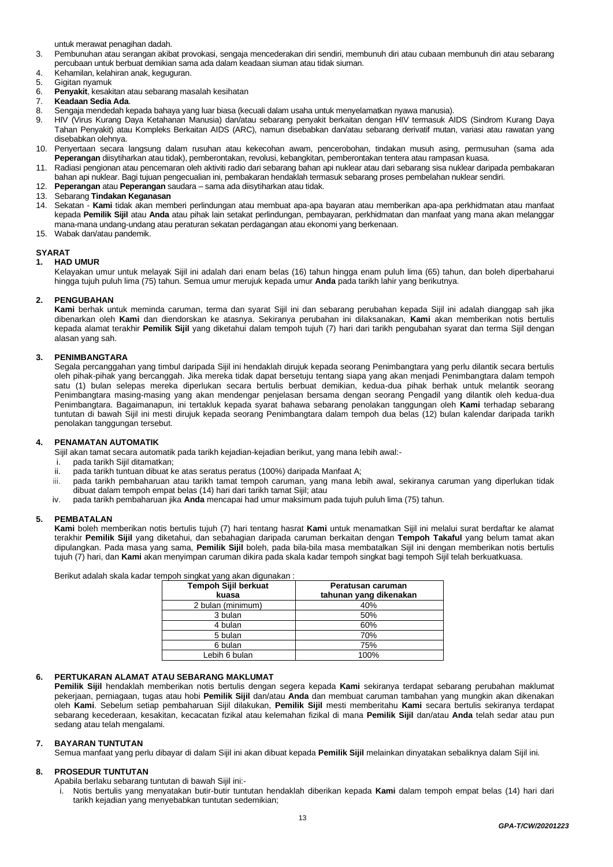untuk merawat penagihan dadah.

- 3. Pembunuhan atau serangan akibat provokasi, sengaja mencederakan diri sendiri, membunuh diri atau cubaan membunuh diri atau sebarang percubaan untuk berbuat demikian sama ada dalam keadaan siuman atau tidak siuman.
- 4. Kehamilan, kelahiran anak, keguguran.
- 5. Gigitan nyamuk
- 6. **Penyakit**, kesakitan atau sebarang masalah kesihatan
- 7. **Keadaan Sedia Ada**.
- 8. Sengaja mendedah kepada bahaya yang luar biasa (kecuali dalam usaha untuk menyelamatkan nyawa manusia).
- HIV (Virus Kurang Daya Ketahanan Manusia) dan/atau sebarang penyakit berkaitan dengan HIV termasuk AIDS (Sindrom Kurang Daya Tahan Penyakit) atau Kompleks Berkaitan AIDS (ARC), namun disebabkan dan/atau sebarang derivatif mutan, variasi atau rawatan yang disebabkan olehnya.
- 10. Penyertaan secara langsung dalam rusuhan atau kekecohan awam, pencerobohan, tindakan musuh asing, permusuhan (sama ada **Peperangan** diisytiharkan atau tidak), pemberontakan, revolusi, kebangkitan, pemberontakan tentera atau rampasan kuasa.
- 11. Radiasi pengionan atau pencemaran oleh aktiviti radio dari sebarang bahan api nuklear atau dari sebarang sisa nuklear daripada pembakaran bahan api nuklear. Bagi tujuan pengecualian ini, pembakaran hendaklah termasuk sebarang proses pembelahan nuklear sendiri.
- 12. **Peperangan** atau **Peperangan** saudara sama ada diisytiharkan atau tidak.
- 13. Sebarang **Tindakan Keganasan**
- 14. Sekatan **Kami** tidak akan memberi perlindungan atau membuat apa-apa bayaran atau memberikan apa-apa perkhidmatan atau manfaat kepada **Pemilik Sijil** atau **Anda** atau pihak lain setakat perlindungan, pembayaran, perkhidmatan dan manfaat yang mana akan melanggar mana-mana undang-undang atau peraturan sekatan perdagangan atau ekonomi yang berkenaan.
- 15. Wabak dan/atau pandemik.

#### **SYARAT 1. HAD UMUR**

Kelayakan umur untuk melayak Sijil ini adalah dari enam belas (16) tahun hingga enam puluh lima (65) tahun, dan boleh diperbaharui hingga tujuh puluh lima (75) tahun. Semua umur merujuk kepada umur **Anda** pada tarikh lahir yang berikutnya.

# **2. PENGUBAHAN**

**Kami** berhak untuk meminda caruman, terma dan syarat Sijil ini dan sebarang perubahan kepada Sijil ini adalah dianggap sah jika dibenarkan oleh **Kami** dan diendorskan ke atasnya. Sekiranya perubahan ini dilaksanakan, **Kami** akan memberikan notis bertulis kepada alamat terakhir **Pemilik Sijil** yang diketahui dalam tempoh tujuh (7) hari dari tarikh pengubahan syarat dan terma Sijil dengan alasan yang sah.

# **3. PENIMBANGTARA**

Segala percanggahan yang timbul daripada Sijil ini hendaklah dirujuk kepada seorang Penimbangtara yang perlu dilantik secara bertulis oleh pihak-pihak yang bercanggah. Jika mereka tidak dapat bersetuju tentang siapa yang akan menjadi Penimbangtara dalam tempoh satu (1) bulan selepas mereka diperlukan secara bertulis berbuat demikian, kedua-dua pihak berhak untuk melantik seorang Penimbangtara masing-masing yang akan mendengar penjelasan bersama dengan seorang Pengadil yang dilantik oleh kedua-dua Penimbangtara. Bagaimanapun, ini tertakluk kepada syarat bahawa sebarang penolakan tanggungan oleh **Kami** terhadap sebarang tuntutan di bawah Sijil ini mesti dirujuk kepada seorang Penimbangtara dalam tempoh dua belas (12) bulan kalendar daripada tarikh penolakan tanggungan tersebut.

# **4. PENAMATAN AUTOMATIK**

Sijil akan tamat secara automatik pada tarikh kejadian-kejadian berikut, yang mana Iebih awal:-

- i. pada tarikh Sijil ditamatkan;
- pada tarikh tuntuan dibuat ke atas seratus peratus (100%) daripada Manfaat A;
- iii. pada tarikh pembaharuan atau tarikh tamat tempoh caruman, yang mana lebih awal, sekiranya caruman yang diperlukan tidak dibuat dalam tempoh empat belas (14) hari dari tarikh tamat Sijil; atau
- iv. pada tarikh pembaharuan jika **Anda** mencapai had umur maksimum pada tujuh puluh lima (75) tahun.

# **5. PEMBATALAN**

**Kami** boleh memberikan notis bertulis tujuh (7) hari tentang hasrat **Kami** untuk menamatkan Sijil ini melalui surat berdaftar ke alamat terakhir **Pemilik Sijil** yang diketahui, dan sebahagian daripada caruman berkaitan dengan **Tempoh Takaful** yang belum tamat akan dipulangkan. Pada masa yang sama, **Pemilik Sijil** boleh, pada bila-bila masa membatalkan Sijil ini dengan memberikan notis bertulis tujuh (7) hari, dan **Kami** akan menyimpan caruman dikira pada skala kadar tempoh singkat bagi tempoh Sijil telah berkuatkuasa.

Berikut adalah skala kadar tempoh singkat yang akan digunakan :

| Tempoh Sijil berkuat | Peratusan caruman      |
|----------------------|------------------------|
| kuasa                | tahunan yang dikenakan |
| 2 bulan (minimum)    | 40%                    |
| 3 bulan              | 50%                    |
| 4 bulan              | 60%                    |
| 5 bulan              | 70%                    |
| 6 bulan              | 75%                    |
| Lebih 6 bulan        | 100%                   |

# **6. PERTUKARAN ALAMAT ATAU SEBARANG MAKLUMAT**

**Pemilik Sijil** hendaklah memberikan notis bertulis dengan segera kepada **Kami** sekiranya terdapat sebarang perubahan maklumat pekerjaan, perniagaan, tugas atau hobi **Pemilik Sijil** dan/atau **Anda** dan membuat caruman tambahan yang mungkin akan dikenakan oleh **Kami**. Sebelum setiap pembaharuan Sijil dilakukan, **Pemilik Sijil** mesti memberitahu **Kami** secara bertulis sekiranya terdapat sebarang kecederaan, kesakitan, kecacatan fizikal atau kelemahan fizikal di mana **Pemilik Sijil** dan/atau **Anda** telah sedar atau pun sedang atau telah mengalami.

### **7. BAYARAN TUNTUTAN**

Semua manfaat yang perlu dibayar di dalam Sijil ini akan dibuat kepada **Pemilik Sijil** melainkan dinyatakan sebaliknya dalam Sijil ini.

# **8. PROSEDUR TUNTUTAN**

Apabila berlaku sebarang tuntutan di bawah Sijil ini:-

i. Notis bertulis yang menyatakan butir-butir tuntutan hendaklah diberikan kepada **Kami** dalam tempoh empat belas (14) hari dari tarikh kejadian yang menyebabkan tuntutan sedemikian;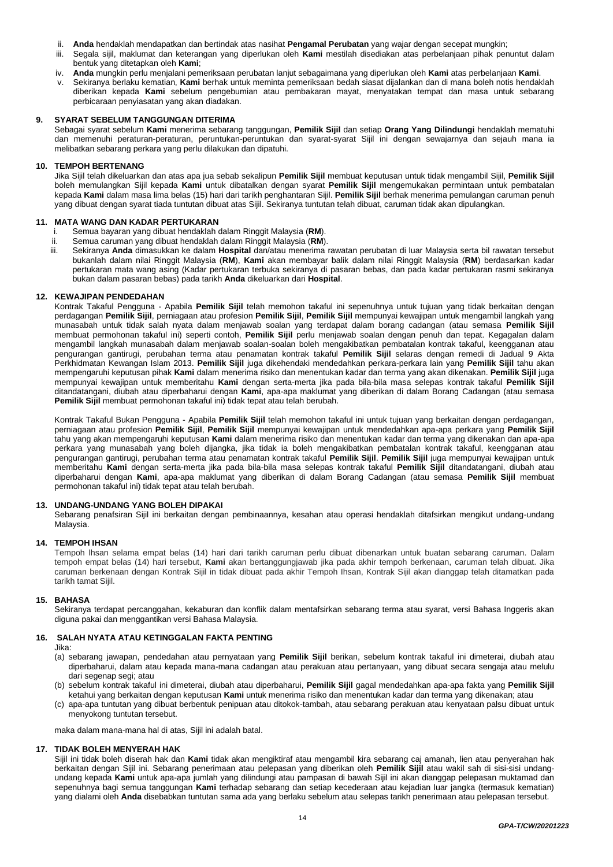- ii. **Anda** hendaklah mendapatkan dan bertindak atas nasihat **Pengamal Perubatan** yang wajar dengan secepat mungkin;
- iii. Segala sijil, maklumat dan keterangan yang diperlukan oleh **Kami** mestilah disediakan atas perbelanjaan pihak penuntut dalam bentuk yang ditetapkan oleh **Kami**;
- iv. **Anda** mungkin perlu menjalani pemeriksaan perubatan lanjut sebagaimana yang diperlukan oleh **Kami** atas perbelanjaan **Kami**.
- v. Sekiranya berlaku kematian, **Kami** berhak untuk meminta pemeriksaan bedah siasat dijalankan dan di mana boleh notis hendaklah diberikan kepada **Kami** sebelum pengebumian atau pembakaran mayat, menyatakan tempat dan masa untuk sebarang perbicaraan penyiasatan yang akan diadakan.

# **9. SYARAT SEBELUM TANGGUNGAN DITERIMA**

Sebagai syarat sebelum **Kami** menerima sebarang tanggungan, **Pemilik Sijil** dan setiap **Orang Yang Dilindungi** hendaklah mematuhi dan memenuhi peraturan-peraturan, peruntukan-peruntukan dan syarat-syarat Sijil ini dengan sewajarnya dan sejauh mana ia melibatkan sebarang perkara yang perlu dilakukan dan dipatuhi.

# **10. TEMPOH BERTENANG**

Jika Sijil telah dikeluarkan dan atas apa jua sebab sekalipun **Pemilik Sijil** membuat keputusan untuk tidak mengambil Sijil, **Pemilik Sijil** boleh memulangkan Sijil kepada **Kami** untuk dibatalkan dengan syarat **Pemilik Sijil** mengemukakan permintaan untuk pembatalan kepada **Kami** dalam masa lima belas (15) hari dari tarikh penghantaran Sijil. **Pemilik Sijil** berhak menerima pemulangan caruman penuh yang dibuat dengan syarat tiada tuntutan dibuat atas Sijil. Sekiranya tuntutan telah dibuat, caruman tidak akan dipulangkan.

### **11. MATA WANG DAN KADAR PERTUKARAN**

- i. Semua bayaran yang dibuat hendaklah dalam Ringgit Malaysia (**RM**).
- ii. Semua caruman yang dibuat hendaklah dalam Ringgit Malaysia (**RM**).
- Sekiranya Anda dimasukkan ke dalam Hospital dan/atau menerima rawatan perubatan di luar Malaysia serta bil rawatan tersebut bukanlah dalam nilai Ringgit Malaysia (**RM**), **Kami** akan membayar balik dalam nilai Ringgit Malaysia (**RM**) berdasarkan kadar pertukaran mata wang asing (Kadar pertukaran terbuka sekiranya di pasaran bebas, dan pada kadar pertukaran rasmi sekiranya bukan dalam pasaran bebas) pada tarikh **Anda** dikeluarkan dari **Hospital**.

#### **12. KEWAJIPAN PENDEDAHAN**

Kontrak Takaful Pengguna - Apabila **Pemilik Sijil** telah memohon takaful ini sepenuhnya untuk tujuan yang tidak berkaitan dengan perdagangan **Pemilik Sijil**, perniagaan atau profesion **Pemilik Sijil**, **Pemilik Sijil** mempunyai kewajipan untuk mengambil langkah yang munasabah untuk tidak salah nyata dalam menjawab soalan yang terdapat dalam borang cadangan (atau semasa **Pemilik Sijil**  membuat permohonan takaful ini) seperti contoh, **Pemilik Sijil** perlu menjawab soalan dengan penuh dan tepat. Kegagalan dalam mengambil langkah munasabah dalam menjawab soalan-soalan boleh mengakibatkan pembatalan kontrak takaful, keengganan atau pengurangan gantirugi, perubahan terma atau penamatan kontrak takaful **Pemilik Sijil** selaras dengan remedi di Jadual 9 Akta Perkhidmatan Kewangan Islam 2013. **Pemilik Sijil** juga dikehendaki mendedahkan perkara-perkara lain yang **Pemilik Sijil** tahu akan mempengaruhi keputusan pihak **Kami** dalam menerima risiko dan menentukan kadar dan terma yang akan dikenakan. **Pemilik Sijil** juga mempunyai kewajipan untuk memberitahu **Kami** dengan serta-merta jika pada bila-bila masa selepas kontrak takaful **Pemilik Sijil**  ditandatangani, diubah atau diperbaharui dengan **Kami**, apa-apa maklumat yang diberikan di dalam Borang Cadangan (atau semasa **Pemilik Sijil** membuat permohonan takaful ini) tidak tepat atau telah berubah.

Kontrak Takaful Bukan Pengguna - Apabila **Pemilik Sijil** telah memohon takaful ini untuk tujuan yang berkaitan dengan perdagangan, perniagaan atau profesion **Pemilik Sijil**, **Pemilik Sijil** mempunyai kewajipan untuk mendedahkan apa-apa perkara yang **Pemilik Sijil**  tahu yang akan mempengaruhi keputusan **Kami** dalam menerima risiko dan menentukan kadar dan terma yang dikenakan dan apa-apa perkara yang munasabah yang boleh dijangka, jika tidak ia boleh mengakibatkan pembatalan kontrak takaful, keengganan atau pengurangan gantirugi, perubahan terma atau penamatan kontrak takaful **Pemilik Sijil**. **Pemilik Sijil** juga mempunyai kewajipan untuk memberitahu **Kami** dengan serta-merta jika pada bila-bila masa selepas kontrak takaful **Pemilik Sijil** ditandatangani, diubah atau diperbaharui dengan **Kami**, apa-apa maklumat yang diberikan di dalam Borang Cadangan (atau semasa **Pemilik Sijil** membuat permohonan takaful ini) tidak tepat atau telah berubah.

#### **13. UNDANG-UNDANG YANG BOLEH DIPAKAI**

Sebarang penafsiran Sijil ini berkaitan dengan pembinaannya, kesahan atau operasi hendaklah ditafsirkan mengikut undang-undang Malaysia.

#### **14. TEMPOH IHSAN**

Tempoh lhsan selama empat belas (14) hari dari tarikh caruman perlu dibuat dibenarkan untuk buatan sebarang caruman. Dalam tempoh empat belas (14) hari tersebut, **Kami** akan bertanggungjawab jika pada akhir tempoh berkenaan, caruman telah dibuat. Jika caruman berkenaan dengan Kontrak Sijil in tidak dibuat pada akhir Tempoh Ihsan, Kontrak Sijil akan dianggap telah ditamatkan pada tarikh tamat Sijil.

#### **15. BAHASA**

Sekiranya terdapat percanggahan, kekaburan dan konflik dalam mentafsirkan sebarang terma atau syarat, versi Bahasa Inggeris akan diguna pakai dan menggantikan versi Bahasa Malaysia.

# **16. SALAH NYATA ATAU KETINGGALAN FAKTA PENTING**

Jika:

- (a) sebarang jawapan, pendedahan atau pernyataan yang **Pemilik Sijil** berikan, sebelum kontrak takaful ini dimeterai, diubah atau diperbaharui, dalam atau kepada mana-mana cadangan atau perakuan atau pertanyaan, yang dibuat secara sengaja atau melulu dari segenap segi; atau
- (b) sebelum kontrak takaful ini dimeterai, diubah atau diperbaharui, **Pemilik Sijil** gagal mendedahkan apa-apa fakta yang **Pemilik Sijil** ketahui yang berkaitan dengan keputusan **Kami** untuk menerima risiko dan menentukan kadar dan terma yang dikenakan; atau
- (c) apa-apa tuntutan yang dibuat berbentuk penipuan atau ditokok-tambah, atau sebarang perakuan atau kenyataan palsu dibuat untuk menyokong tuntutan tersebut.

maka dalam mana-mana hal di atas, Sijil ini adalah batal.

#### **17. TIDAK BOLEH MENYERAH HAK**

Sijil ini tidak boleh diserah hak dan **Kami** tidak akan mengiktiraf atau mengambil kira sebarang caj amanah, lien atau penyerahan hak berkaitan dengan Sijil ini. Sebarang penerimaan atau pelepasan yang diberikan oleh **Pemilik Sijil** atau wakil sah di sisi-sisi undangundang kepada **Kami** untuk apa-apa jumlah yang dilindungi atau pampasan di bawah Sijil ini akan dianggap pelepasan muktamad dan sepenuhnya bagi semua tanggungan **Kami** terhadap sebarang dan setiap kecederaan atau kejadian luar jangka (termasuk kematian) yang dialami oleh **Anda** disebabkan tuntutan sama ada yang berlaku sebelum atau selepas tarikh penerimaan atau pelepasan tersebut.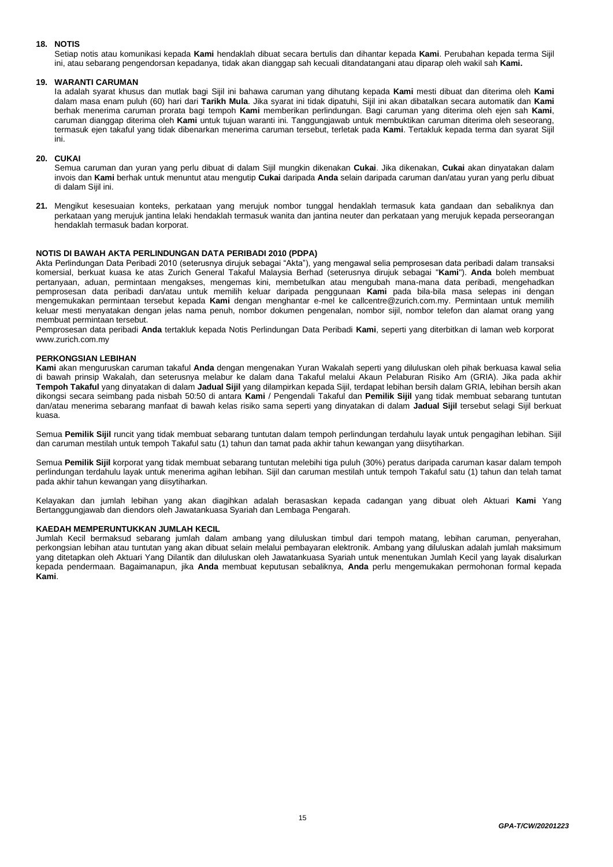# **18. NOTIS**

Setiap notis atau komunikasi kepada **Kami** hendaklah dibuat secara bertulis dan dihantar kepada **Kami**. Perubahan kepada terma Sijil ini, atau sebarang pengendorsan kepadanya, tidak akan dianggap sah kecuali ditandatangani atau diparap oleh wakil sah **Kami.**

# **19. WARANTI CARUMAN**

Ia adalah syarat khusus dan mutlak bagi Sijil ini bahawa caruman yang dihutang kepada **Kami** mesti dibuat dan diterima oleh **Kami** dalam masa enam puluh (60) hari dari **Tarikh Mula**. Jika syarat ini tidak dipatuhi, Sijil ini akan dibatalkan secara automatik dan **Kami** berhak menerima caruman prorata bagi tempoh **Kami** memberikan perlindungan. Bagi caruman yang diterima oleh ejen sah **Kami**, caruman dianggap diterima oleh **Kami** untuk tujuan waranti ini. Tanggungjawab untuk membuktikan caruman diterima oleh seseorang, termasuk ejen takaful yang tidak dibenarkan menerima caruman tersebut, terletak pada **Kami**. Tertakluk kepada terma dan syarat Sijil ini.

# **20. CUKAI**

Semua caruman dan yuran yang perlu dibuat di dalam Sijil mungkin dikenakan **Cukai**. Jika dikenakan, **Cukai** akan dinyatakan dalam invois dan **Kami** berhak untuk menuntut atau mengutip **Cukai** daripada **Anda** selain daripada caruman dan/atau yuran yang perlu dibuat di dalam Sijil ini.

**21.** Mengikut kesesuaian konteks, perkataan yang merujuk nombor tunggal hendaklah termasuk kata gandaan dan sebaliknya dan perkataan yang merujuk jantina lelaki hendaklah termasuk wanita dan jantina neuter dan perkataan yang merujuk kepada perseorangan hendaklah termasuk badan korporat.

# **NOTIS DI BAWAH AKTA PERLINDUNGAN DATA PERIBADI 2010 (PDPA)**

Akta Perlindungan Data Peribadi 2010 (seterusnya dirujuk sebagai "Akta"), yang mengawal selia pemprosesan data peribadi dalam transaksi komersial, berkuat kuasa ke atas Zurich General Takaful Malaysia Berhad (seterusnya dirujuk sebagai "**Kami**"). **Anda** boleh membuat pertanyaan, aduan, permintaan mengakses, mengemas kini, membetulkan atau mengubah mana-mana data peribadi, mengehadkan pemprosesan data peribadi dan/atau untuk memilih keluar daripada penggunaan **Kami** pada bila-bila masa selepas ini dengan mengemukakan permintaan tersebut kepada **Kami** dengan menghantar e-mel ke callcentre@zurich.com.my. Permintaan untuk memilih keluar mesti menyatakan dengan jelas nama penuh, nombor dokumen pengenalan, nombor sijil, nombor telefon dan alamat orang yang membuat permintaan tersebut.

Pemprosesan data peribadi **Anda** tertakluk kepada Notis Perlindungan Data Peribadi **Kami**, seperti yang diterbitkan di laman web korporat www.zurich.com.my

# **PERKONGSIAN LEBIHAN**

**Kami** akan menguruskan caruman takaful **Anda** dengan mengenakan Yuran Wakalah seperti yang diluluskan oleh pihak berkuasa kawal selia di bawah prinsip Wakalah, dan seterusnya melabur ke dalam dana Takaful melalui Akaun Pelaburan Risiko Am (GRIA). Jika pada akhir **Tempoh Takaful** yang dinyatakan di dalam **Jadual Sijil** yang dilampirkan kepada Sijil, terdapat lebihan bersih dalam GRIA, lebihan bersih akan dikongsi secara seimbang pada nisbah 50:50 di antara **Kami** / Pengendali Takaful dan **Pemilik Sijil** yang tidak membuat sebarang tuntutan dan/atau menerima sebarang manfaat di bawah kelas risiko sama seperti yang dinyatakan di dalam **Jadual Sijil** tersebut selagi Sijil berkuat kuasa.

Semua **Pemilik Sijil** runcit yang tidak membuat sebarang tuntutan dalam tempoh perlindungan terdahulu layak untuk pengagihan lebihan. Sijil dan caruman mestilah untuk tempoh Takaful satu (1) tahun dan tamat pada akhir tahun kewangan yang diisytiharkan.

Semua **Pemilik Sijil** korporat yang tidak membuat sebarang tuntutan melebihi tiga puluh (30%) peratus daripada caruman kasar dalam tempoh perlindungan terdahulu layak untuk menerima agihan lebihan. Sijil dan caruman mestilah untuk tempoh Takaful satu (1) tahun dan telah tamat pada akhir tahun kewangan yang diisytiharkan.

Kelayakan dan jumlah lebihan yang akan diagihkan adalah berasaskan kepada cadangan yang dibuat oleh Aktuari **Kami** Yang Bertanggungjawab dan diendors oleh Jawatankuasa Syariah dan Lembaga Pengarah.

### **KAEDAH MEMPERUNTUKKAN JUMLAH KECIL**

Jumlah Kecil bermaksud sebarang jumlah dalam ambang yang diluluskan timbul dari tempoh matang, lebihan caruman, penyerahan, perkongsian lebihan atau tuntutan yang akan dibuat selain melalui pembayaran elektronik. Ambang yang diluluskan adalah jumlah maksimum yang ditetapkan oleh Aktuari Yang Dilantik dan diluluskan oleh Jawatankuasa Syariah untuk menentukan Jumlah Kecil yang layak disalurkan kepada pendermaan. Bagaimanapun, jika **Anda** membuat keputusan sebaliknya, **Anda** perlu mengemukakan permohonan formal kepada **Kami**.